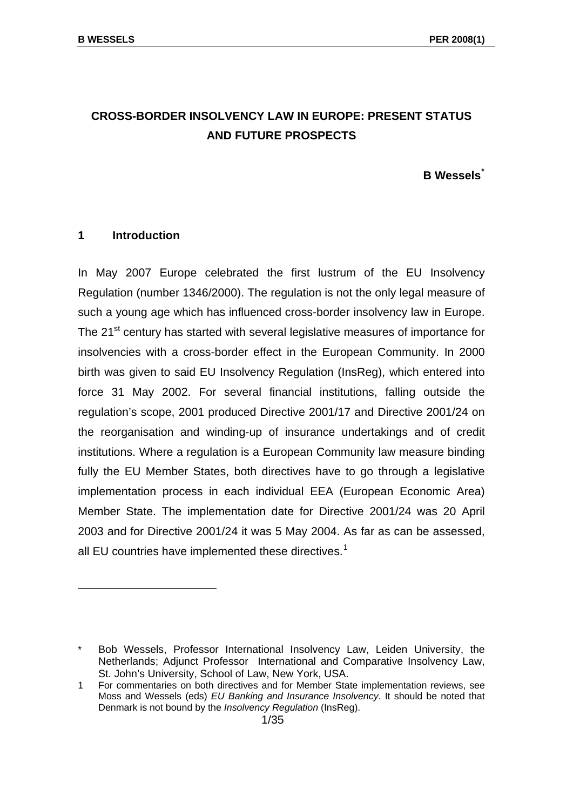# **CROSS-BORDER INSOLVENCY LAW IN EUROPE: PRESENT STATUS AND FUTURE PROSPECTS**

**B Wessels[\\*](#page-0-0)**

#### **1 Introduction**

1

In May 2007 Europe celebrated the first lustrum of the EU Insolvency Regulation (number 1346/2000). The regulation is not the only legal measure of such a young age which has influenced cross-border insolvency law in Europe. The 21<sup>st</sup> century has started with several legislative measures of importance for insolvencies with a cross-border effect in the European Community. In 2000 birth was given to said EU Insolvency Regulation (InsReg), which entered into force 31 May 2002. For several financial institutions, falling outside the regulation's scope, 2001 produced Directive 2001/17 and Directive 2001/24 on the reorganisation and winding-up of insurance undertakings and of credit institutions. Where a regulation is a European Community law measure binding fully the EU Member States, both directives have to go through a legislative implementation process in each individual EEA (European Economic Area) Member State. The implementation date for Directive 2001/24 was 20 April 2003 and for Directive 2001/24 it was 5 May 2004. As far as can be assessed, all EU countries have implemented these directives.<sup>[1](#page-0-1)</sup>

<span id="page-0-0"></span>Bob Wessels, Professor International Insolvency Law, Leiden University, the Netherlands; Adjunct Professor International and Comparative Insolvency Law, St. John's University, School of Law, New York, USA.

<span id="page-0-1"></span><sup>1</sup> For commentaries on both directives and for Member State implementation reviews, see Moss and Wessels (eds) *EU Banking and Insurance Insolvency*. It should be noted that Denmark is not bound by the *Insolvency Regulation* (InsReg).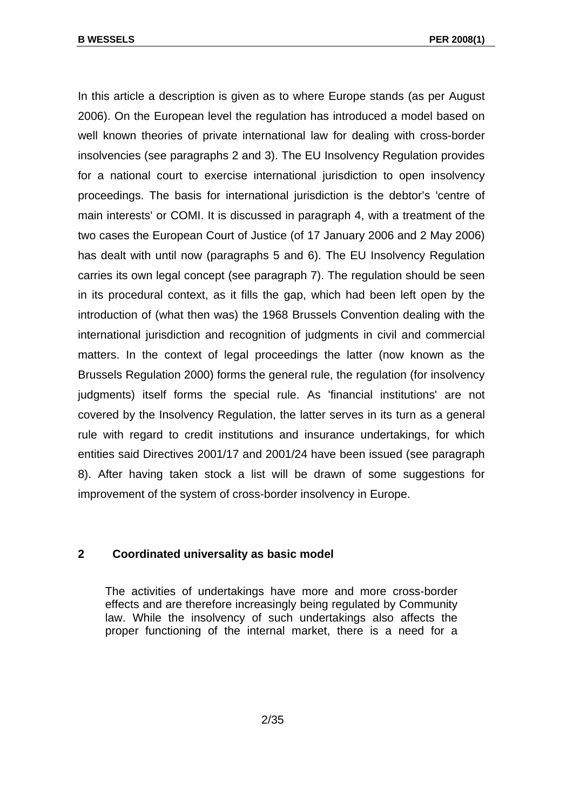In this article a description is given as to where Europe stands (as per August 2006). On the European level the regulation has introduced a model based on well known theories of private international law for dealing with cross-border insolvencies (see paragraphs 2 and 3). The EU Insolvency Regulation provides for a national court to exercise international jurisdiction to open insolvency proceedings. The basis for international jurisdiction is the debtor's 'centre of main interests' or COMI. It is discussed in paragraph 4, with a treatment of the two cases the European Court of Justice (of 17 January 2006 and 2 May 2006) has dealt with until now (paragraphs 5 and 6). The EU Insolvency Regulation carries its own legal concept (see paragraph 7). The regulation should be seen in its procedural context, as it fills the gap, which had been left open by the introduction of (what then was) the 1968 Brussels Convention dealing with the international jurisdiction and recognition of judgments in civil and commercial matters. In the context of legal proceedings the latter (now known as the Brussels Regulation 2000) forms the general rule, the regulation (for insolvency judgments) itself forms the special rule. As 'financial institutions' are not covered by the Insolvency Regulation, the latter serves in its turn as a general rule with regard to credit institutions and insurance undertakings, for which entities said Directives 2001/17 and 2001/24 have been issued (see paragraph 8). After having taken stock a list will be drawn of some suggestions for improvement of the system of cross-border insolvency in Europe.

#### **2 Coordinated universality as basic model**

The activities of undertakings have more and more cross-border effects and are therefore increasingly being regulated by Community law. While the insolvency of such undertakings also affects the proper functioning of the internal market, there is a need for a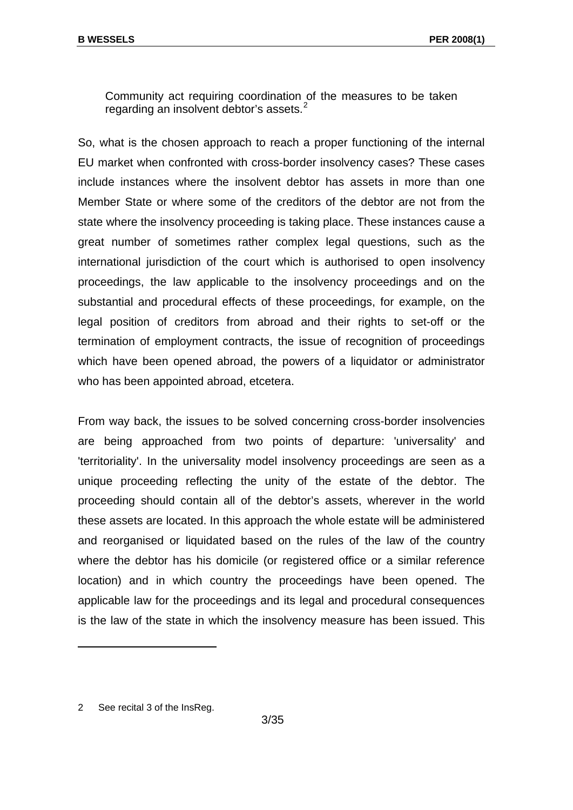Community act requiring coordination of the measures to be taken regarding an insolvent debtor's assets.<sup>[2](#page-2-0)</sup>

So, what is the chosen approach to reach a proper functioning of the internal EU market when confronted with cross-border insolvency cases? These cases include instances where the insolvent debtor has assets in more than one Member State or where some of the creditors of the debtor are not from the state where the insolvency proceeding is taking place. These instances cause a great number of sometimes rather complex legal questions, such as the international jurisdiction of the court which is authorised to open insolvency proceedings, the law applicable to the insolvency proceedings and on the substantial and procedural effects of these proceedings, for example, on the legal position of creditors from abroad and their rights to set-off or the termination of employment contracts, the issue of recognition of proceedings which have been opened abroad, the powers of a liquidator or administrator who has been appointed abroad, etcetera.

From way back, the issues to be solved concerning cross-border insolvencies are being approached from two points of departure: 'universality' and 'territoriality'. In the universality model insolvency proceedings are seen as a unique proceeding reflecting the unity of the estate of the debtor. The proceeding should contain all of the debtor's assets, wherever in the world these assets are located. In this approach the whole estate will be administered and reorganised or liquidated based on the rules of the law of the country where the debtor has his domicile (or registered office or a similar reference location) and in which country the proceedings have been opened. The applicable law for the proceedings and its legal and procedural consequences is the law of the state in which the insolvency measure has been issued. This

<span id="page-2-0"></span>2 See recital 3 of the InsReg.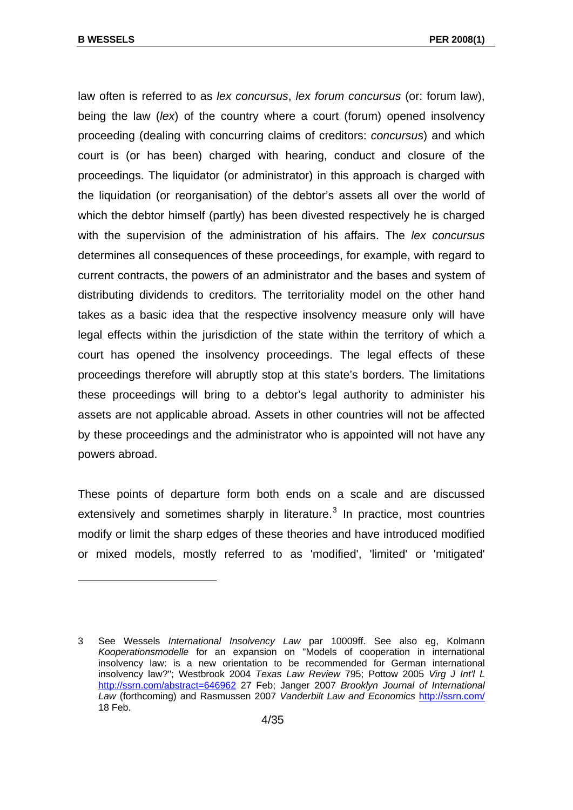law often is referred to as *lex concursus*, *lex forum concursus* (or: forum law), being the law (*lex*) of the country where a court (forum) opened insolvency proceeding (dealing with concurring claims of creditors: *concursus*) and which court is (or has been) charged with hearing, conduct and closure of the proceedings. The liquidator (or administrator) in this approach is charged with the liquidation (or reorganisation) of the debtor's assets all over the world of which the debtor himself (partly) has been divested respectively he is charged with the supervision of the administration of his affairs. The *lex concursus*  determines all consequences of these proceedings, for example, with regard to current contracts, the powers of an administrator and the bases and system of distributing dividends to creditors. The territoriality model on the other hand takes as a basic idea that the respective insolvency measure only will have legal effects within the jurisdiction of the state within the territory of which a court has opened the insolvency proceedings. The legal effects of these proceedings therefore will abruptly stop at this state's borders. The limitations these proceedings will bring to a debtor's legal authority to administer his assets are not applicable abroad. Assets in other countries will not be affected by these proceedings and the administrator who is appointed will not have any powers abroad.

These points of departure form both ends on a scale and are discussed extensively and sometimes sharply in literature. $3$  In practice, most countries modify or limit the sharp edges of these theories and have introduced modified or mixed models, mostly referred to as 'modified', 'limited' or 'mitigated'

<span id="page-3-0"></span><sup>3</sup> See Wessels *International Insolvency Law* par 10009ff. See also eg, Kolmann *Kooperationsmodelle* for an expansion on "Models of cooperation in international insolvency law: is a new orientation to be recommended for German international insolvency law?"; Westbrook 2004 *Texas Law Review* 795; Pottow 2005 *Virg J Int'l L* <http://ssrn.com/abstract=646962> 27 Feb; Janger 2007 *Brooklyn Journal of International Law* (forthcoming) and Rasmussen 2007 *Vanderbilt Law and Economics* [http://ssrn.com/](http://ssrn.com/abstract=982678) 18 Feb.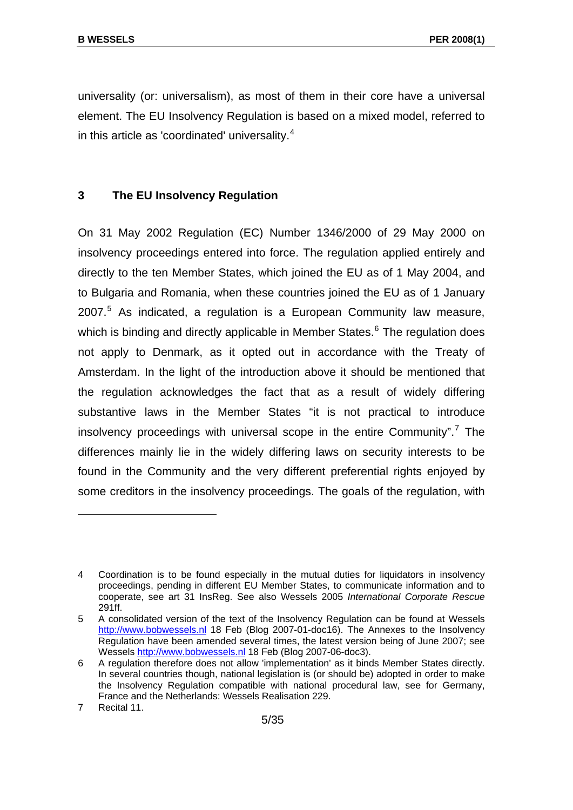universality (or: universalism), as most of them in their core have a universal element. The EU Insolvency Regulation is based on a mixed model, referred to in this article as 'coordinated' universality.[4](#page-4-0)

# **3 The EU Insolvency Regulation**

On 31 May 2002 Regulation (EC) Number 1346/2000 of 29 May 2000 on insolvency proceedings entered into force. The regulation applied entirely and directly to the ten Member States, which joined the EU as of 1 May 2004, and to Bulgaria and Romania, when these countries joined the EU as of 1 January 2007.<sup>[5](#page-4-1)</sup> As indicated, a regulation is a European Community law measure, which is binding and directly applicable in Member States. $6$  The regulation does not apply to Denmark, as it opted out in accordance with the Treaty of Amsterdam. In the light of the introduction above it should be mentioned that the regulation acknowledges the fact that as a result of widely differing substantive laws in the Member States "it is not practical to introduce insolvency proceedings with universal scope in the entire Community".<sup>[7](#page-4-3)</sup> The differences mainly lie in the widely differing laws on security interests to be found in the Community and the very different preferential rights enjoyed by some creditors in the insolvency proceedings. The goals of the regulation, with

<span id="page-4-0"></span><sup>4</sup> Coordination is to be found especially in the mutual duties for liquidators in insolvency proceedings, pending in different EU Member States, to communicate information and to cooperate, see art 31 InsReg. See also Wessels 2005 *International Corporate Rescue* 291ff.

<span id="page-4-1"></span><sup>5</sup> A consolidated version of the text of the Insolvency Regulation can be found at Wessels [http://www.bobwessels.nl](http://www.bobwessels.nl/) 18 Feb (Blog 2007-01-doc16). The Annexes to the Insolvency Regulation have been amended several times, the latest version being of June 2007; see Wessels [http://www.bobwessels.nl](http://www.bobwessels.nl/) 18 Feb (Blog 2007-06-doc3).

<span id="page-4-2"></span><sup>6</sup> A regulation therefore does not allow 'implementation' as it binds Member States directly. In several countries though, national legislation is (or should be) adopted in order to make the Insolvency Regulation compatible with national procedural law, see for Germany, France and the Netherlands: Wessels Realisation 229.

<span id="page-4-3"></span><sup>7</sup> Recital 11.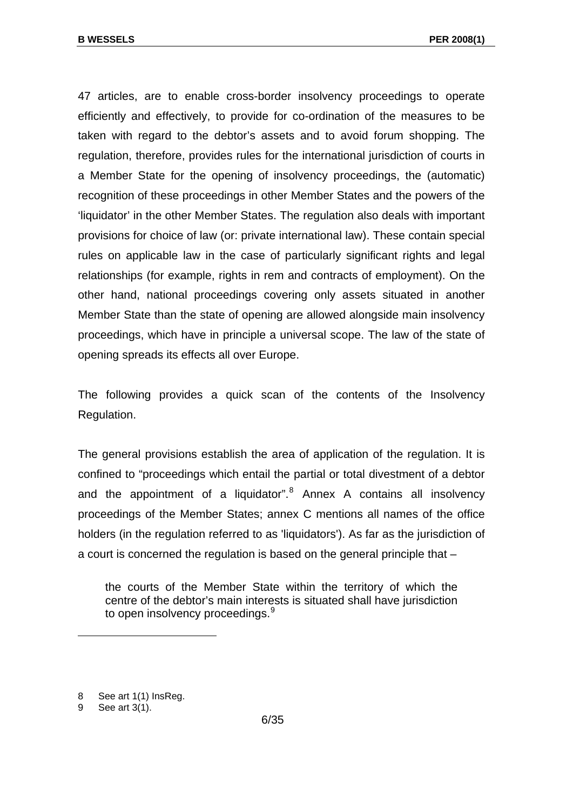47 articles, are to enable cross-border insolvency proceedings to operate efficiently and effectively, to provide for co-ordination of the measures to be taken with regard to the debtor's assets and to avoid forum shopping. The regulation, therefore, provides rules for the international jurisdiction of courts in a Member State for the opening of insolvency proceedings, the (automatic) recognition of these proceedings in other Member States and the powers of the 'liquidator' in the other Member States. The regulation also deals with important provisions for choice of law (or: private international law). These contain special rules on applicable law in the case of particularly significant rights and legal relationships (for example, rights in rem and contracts of employment). On the other hand, national proceedings covering only assets situated in another Member State than the state of opening are allowed alongside main insolvency proceedings, which have in principle a universal scope. The law of the state of opening spreads its effects all over Europe.

The following provides a quick scan of the contents of the Insolvency Regulation.

The general provisions establish the area of application of the regulation. It is confined to "proceedings which entail the partial or total divestment of a debtor and the appointment of a liquidator". $8$  Annex A contains all insolvency proceedings of the Member States; annex C mentions all names of the office holders (in the regulation referred to as 'liquidators'). As far as the jurisdiction of a court is concerned the regulation is based on the general principle that –

the courts of the Member State within the territory of which the centre of the debtor's main interests is situated shall have jurisdiction to open insolvency proceedings.<sup>[9](#page-5-1)</sup>

<span id="page-5-0"></span><sup>8</sup> See art 1(1) InsReg.

<span id="page-5-1"></span><sup>9</sup> See art 3(1).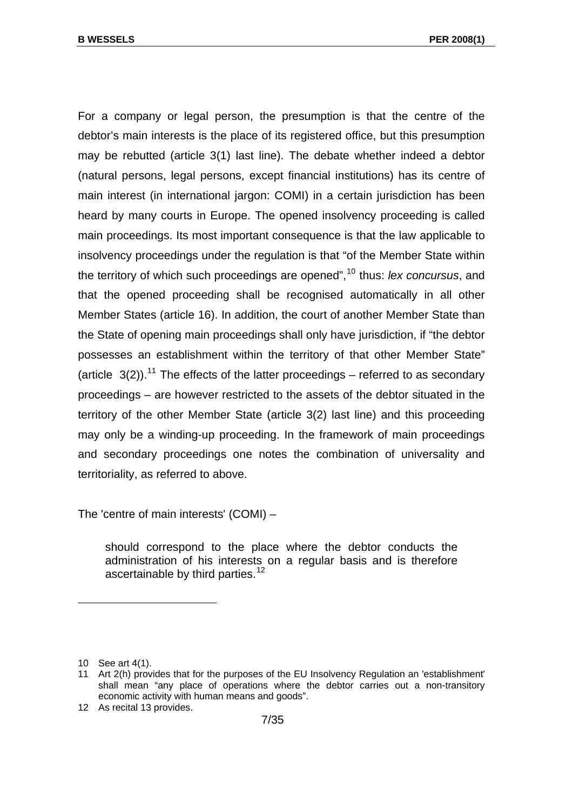For a company or legal person, the presumption is that the centre of the debtor's main interests is the place of its registered office, but this presumption may be rebutted (article 3(1) last line). The debate whether indeed a debtor (natural persons, legal persons, except financial institutions) has its centre of main interest (in international jargon: COMI) in a certain jurisdiction has been heard by many courts in Europe. The opened insolvency proceeding is called main proceedings. Its most important consequence is that the law applicable to insolvency proceedings under the regulation is that "of the Member State within the territory of which such proceedings are opened",[10](#page-6-0) thus: *lex concursus*, and that the opened proceeding shall be recognised automatically in all other Member States (article 16). In addition, the court of another Member State than the State of opening main proceedings shall only have jurisdiction, if "the debtor possesses an establishment within the territory of that other Member State" (article 3(2)).<sup>[11](#page-6-1)</sup> The effects of the latter proceedings – referred to as secondary proceedings – are however restricted to the assets of the debtor situated in the territory of the other Member State (article 3(2) last line) and this proceeding may only be a winding-up proceeding. In the framework of main proceedings and secondary proceedings one notes the combination of universality and territoriality, as referred to above.

The 'centre of main interests' (COMI) –

should correspond to the place where the debtor conducts the administration of his interests on a regular basis and is therefore ascertainable by third parties.<sup>[12](#page-6-2)</sup>

<span id="page-6-0"></span><sup>10</sup> See art 4(1).

<span id="page-6-1"></span><sup>11</sup> Art 2(h) provides that for the purposes of the EU Insolvency Regulation an 'establishment' shall mean "any place of operations where the debtor carries out a non-transitory economic activity with human means and goods".

<span id="page-6-2"></span><sup>12</sup> As recital 13 provides.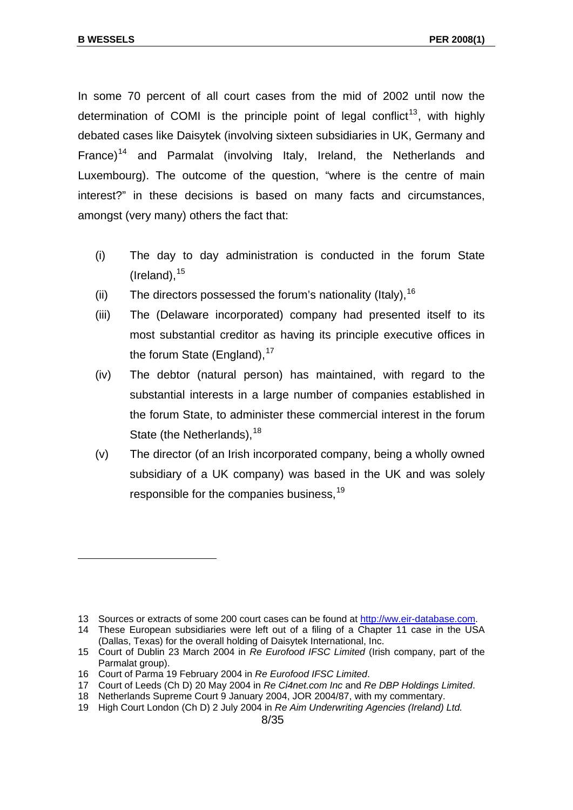<u>.</u>

In some 70 percent of all court cases from the mid of 2002 until now the determination of COMI is the principle point of legal conflict<sup>[13](#page-7-0)</sup>, with highly debated cases like Daisytek (involving sixteen subsidiaries in UK, Germany and France)<sup>[14](#page-7-1)</sup> and Parmalat (involving Italy, Ireland, the Netherlands and Luxembourg). The outcome of the question, "where is the centre of main interest?" in these decisions is based on many facts and circumstances, amongst (very many) others the fact that:

- (i) The day to day administration is conducted in the forum State (Ireland). $15$
- (ii) The directors possessed the forum's nationality (Italy),  $16$
- (iii) The (Delaware incorporated) company had presented itself to its most substantial creditor as having its principle executive offices in the forum State (England),  $17$
- (iv) The debtor (natural person) has maintained, with regard to the substantial interests in a large number of companies established in the forum State, to administer these commercial interest in the forum State (the Netherlands),  $18$
- (v) The director (of an Irish incorporated company, being a wholly owned subsidiary of a UK company) was based in the UK and was solely responsible for the companies business.<sup>[19](#page-7-6)</sup>

<span id="page-7-0"></span><sup>13</sup> Sources or extracts of some 200 court cases can be found at [http://ww.eir-database.com](http://ww.eir-database.com/).

<span id="page-7-1"></span><sup>14</sup> These European subsidiaries were left out of a filing of a Chapter 11 case in the USA (Dallas, Texas) for the overall holding of Daisytek International, Inc.

<span id="page-7-2"></span><sup>15</sup> Court of Dublin 23 March 2004 in *Re Eurofood IFSC Limited* (Irish company, part of the Parmalat group).

<span id="page-7-3"></span><sup>16</sup> Court of Parma 19 February 2004 in *Re Eurofood IFSC Limited*.

<span id="page-7-4"></span><sup>17</sup> Court of Leeds (Ch D) 20 May 2004 in *Re Ci4net.com Inc* and *Re DBP Holdings Limited*.

<span id="page-7-5"></span><sup>18</sup> Netherlands Supreme Court 9 January 2004, JOR 2004/87, with my commentary.

<span id="page-7-6"></span><sup>19</sup> High Court London (Ch D) 2 July 2004 in *Re Aim Underwriting Agencies (Ireland) Ltd.*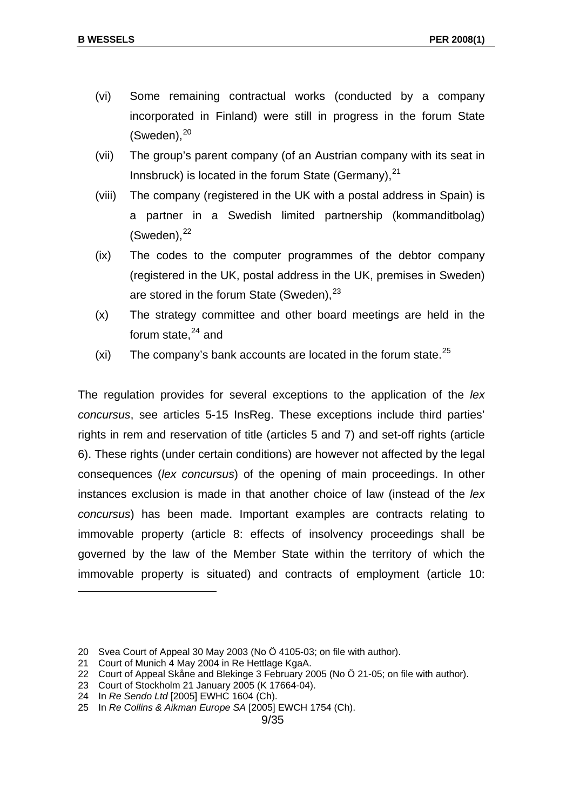- (vi) Some remaining contractual works (conducted by a company incorporated in Finland) were still in progress in the forum State  $(Sweden)$ , $^{20}$  $^{20}$  $^{20}$
- (vii) The group's parent company (of an Austrian company with its seat in Innsbruck) is located in the forum State (Germany). $21$
- (viii) The company (registered in the UK with a postal address in Spain) is a partner in a Swedish limited partnership (kommanditbolag)  $(Sweden)$ ,  $^{22}$  $^{22}$  $^{22}$
- (ix) The codes to the computer programmes of the debtor company (registered in the UK, postal address in the UK, premises in Sweden) are stored in the forum State (Sweden), $^{23}$  $^{23}$  $^{23}$
- (x) The strategy committee and other board meetings are held in the forum state, $24$  and
- (xi) The company's bank accounts are located in the forum state. $^{25}$  $^{25}$  $^{25}$

The regulation provides for several exceptions to the application of the *lex concursus*, see articles 5-15 InsReg. These exceptions include third parties' rights in rem and reservation of title (articles 5 and 7) and set-off rights (article 6). These rights (under certain conditions) are however not affected by the legal consequences (*lex concursus*) of the opening of main proceedings. In other instances exclusion is made in that another choice of law (instead of the *lex concursus*) has been made. Important examples are contracts relating to immovable property (article 8: effects of insolvency proceedings shall be governed by the law of the Member State within the territory of which the immovable property is situated) and contracts of employment (article 10:

<span id="page-8-4"></span>24 In *Re Sendo Ltd* [2005] EWHC 1604 (Ch).

<u>.</u>

<span id="page-8-0"></span><sup>20</sup> Svea Court of Appeal 30 May 2003 (No Ö 4105-03; on file with author).

<span id="page-8-1"></span><sup>21</sup> Court of Munich 4 May 2004 in Re Hettlage KgaA.

<span id="page-8-2"></span><sup>22</sup> Court of Appeal Skåne and Blekinge 3 February 2005 (No Ö 21-05; on file with author).

<span id="page-8-3"></span><sup>23</sup> Court of Stockholm 21 January 2005 (K 17664-04).

<span id="page-8-5"></span><sup>25</sup> In *Re Collins & Aikman Europe SA* [2005] EWCH 1754 (Ch).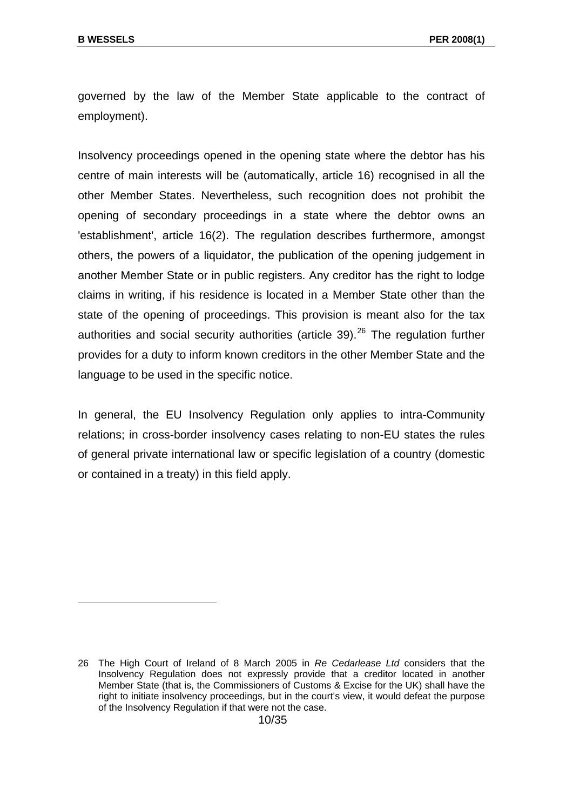governed by the law of the Member State applicable to the contract of employment).

Insolvency proceedings opened in the opening state where the debtor has his centre of main interests will be (automatically, article 16) recognised in all the other Member States. Nevertheless, such recognition does not prohibit the opening of secondary proceedings in a state where the debtor owns an 'establishment', article 16(2). The regulation describes furthermore, amongst others, the powers of a liquidator, the publication of the opening judgement in another Member State or in public registers. Any creditor has the right to lodge claims in writing, if his residence is located in a Member State other than the state of the opening of proceedings. This provision is meant also for the tax authorities and social security authorities (article 39).<sup>[26](#page-9-0)</sup> The regulation further provides for a duty to inform known creditors in the other Member State and the language to be used in the specific notice.

In general, the EU Insolvency Regulation only applies to intra-Community relations; in cross-border insolvency cases relating to non-EU states the rules of general private international law or specific legislation of a country (domestic or contained in a treaty) in this field apply.

<span id="page-9-0"></span><sup>26</sup> The High Court of Ireland of 8 March 2005 in *Re Cedarlease Ltd* considers that the Insolvency Regulation does not expressly provide that a creditor located in another Member State (that is, the Commissioners of Customs & Excise for the UK) shall have the right to initiate insolvency proceedings, but in the court's view, it would defeat the purpose of the Insolvency Regulation if that were not the case.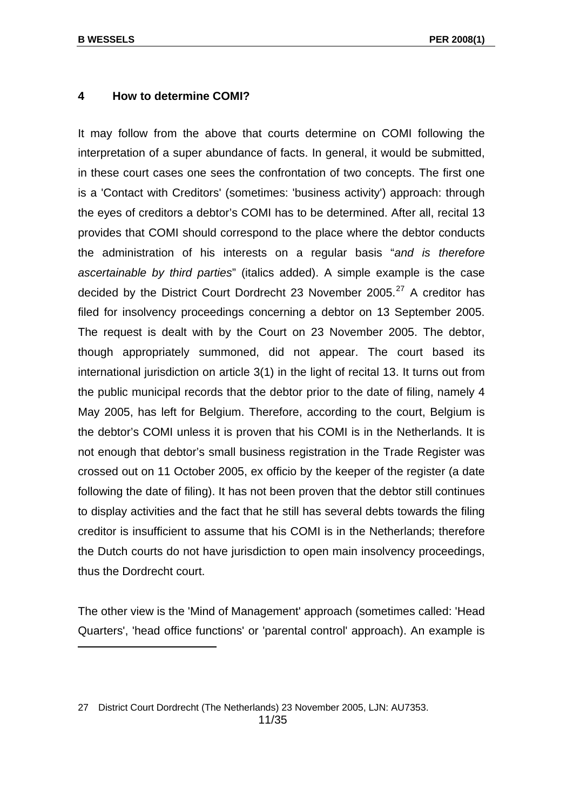#### **4 How to determine COMI?**

It may follow from the above that courts determine on COMI following the interpretation of a super abundance of facts. In general, it would be submitted, in these court cases one sees the confrontation of two concepts. The first one is a 'Contact with Creditors' (sometimes: 'business activity') approach: through the eyes of creditors a debtor's COMI has to be determined. After all, recital 13 provides that COMI should correspond to the place where the debtor conducts the administration of his interests on a regular basis "*and is therefore ascertainable by third parties*" (italics added). A simple example is the case decided by the District Court Dordrecht 23 November 2005. $^{27}$  $^{27}$  $^{27}$  A creditor has filed for insolvency proceedings concerning a debtor on 13 September 2005. The request is dealt with by the Court on 23 November 2005. The debtor, though appropriately summoned, did not appear. The court based its international jurisdiction on article 3(1) in the light of recital 13. It turns out from the public municipal records that the debtor prior to the date of filing, namely 4 May 2005, has left for Belgium. Therefore, according to the court, Belgium is the debtor's COMI unless it is proven that his COMI is in the Netherlands. It is not enough that debtor's small business registration in the Trade Register was crossed out on 11 October 2005, ex officio by the keeper of the register (a date following the date of filing). It has not been proven that the debtor still continues to display activities and the fact that he still has several debts towards the filing creditor is insufficient to assume that his COMI is in the Netherlands; therefore the Dutch courts do not have jurisdiction to open main insolvency proceedings, thus the Dordrecht court.

The other view is the 'Mind of Management' approach (sometimes called: 'Head Quarters', 'head office functions' or 'parental control' approach). An example is

<span id="page-10-0"></span><sup>11/35</sup>  27 District Court Dordrecht (The Netherlands) 23 November 2005, LJN: AU7353.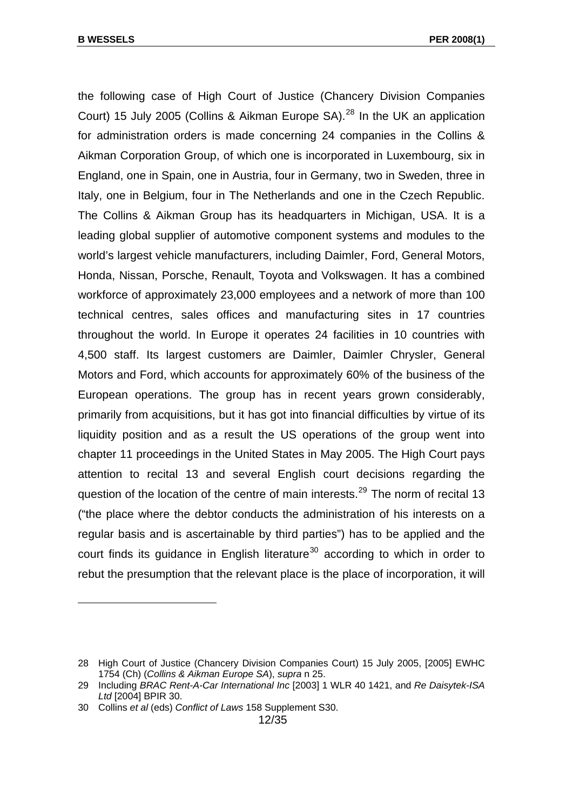the following case of High Court of Justice (Chancery Division Companies Court) 15 July 2005 (Collins & Aikman Europe SA).<sup>[28](#page-11-0)</sup> In the UK an application for administration orders is made concerning 24 companies in the Collins & Aikman Corporation Group, of which one is incorporated in Luxembourg, six in England, one in Spain, one in Austria, four in Germany, two in Sweden, three in Italy, one in Belgium, four in The Netherlands and one in the Czech Republic. The Collins & Aikman Group has its headquarters in Michigan, USA. It is a leading global supplier of automotive component systems and modules to the world's largest vehicle manufacturers, including Daimler, Ford, General Motors, Honda, Nissan, Porsche, Renault, Toyota and Volkswagen. It has a combined workforce of approximately 23,000 employees and a network of more than 100 technical centres, sales offices and manufacturing sites in 17 countries throughout the world. In Europe it operates 24 facilities in 10 countries with 4,500 staff. Its largest customers are Daimler, Daimler Chrysler, General Motors and Ford, which accounts for approximately 60% of the business of the European operations. The group has in recent years grown considerably, primarily from acquisitions, but it has got into financial difficulties by virtue of its liquidity position and as a result the US operations of the group went into chapter 11 proceedings in the United States in May 2005. The High Court pays attention to recital 13 and several English court decisions regarding the question of the location of the centre of main interests.<sup>[29](#page-11-1)</sup> The norm of recital 13 ("the place where the debtor conducts the administration of his interests on a regular basis and is ascertainable by third parties") has to be applied and the court finds its guidance in English literature<sup>[30](#page-11-2)</sup> according to which in order to rebut the presumption that the relevant place is the place of incorporation, it will

<span id="page-11-0"></span><sup>28</sup> High Court of Justice (Chancery Division Companies Court) 15 July 2005, [2005] EWHC 1754 (Ch) (*Collins & Aikman Europe SA*), *supra* n 25.

<span id="page-11-1"></span><sup>29</sup> Including *BRAC Rent-A-Car International Inc* [2003] 1 WLR 40 1421, and *Re Daisytek-ISA Ltd* [2004] BPIR 30.

<span id="page-11-2"></span><sup>30</sup> Collins *et al* (eds) *Conflict of Laws* 158 Supplement S30.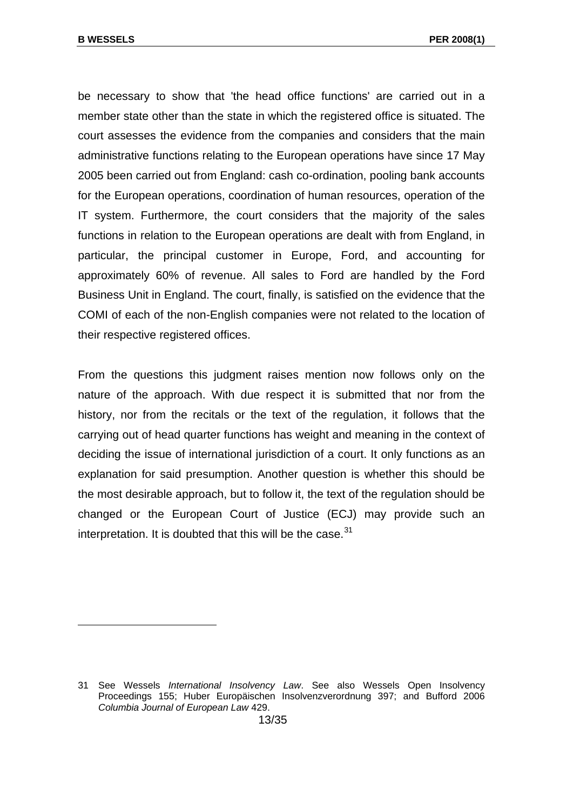be necessary to show that 'the head office functions' are carried out in a member state other than the state in which the registered office is situated. The court assesses the evidence from the companies and considers that the main administrative functions relating to the European operations have since 17 May 2005 been carried out from England: cash co-ordination, pooling bank accounts for the European operations, coordination of human resources, operation of the IT system. Furthermore, the court considers that the majority of the sales functions in relation to the European operations are dealt with from England, in particular, the principal customer in Europe, Ford, and accounting for approximately 60% of revenue. All sales to Ford are handled by the Ford Business Unit in England. The court, finally, is satisfied on the evidence that the COMI of each of the non-English companies were not related to the location of their respective registered offices.

From the questions this judgment raises mention now follows only on the nature of the approach. With due respect it is submitted that nor from the history, nor from the recitals or the text of the regulation, it follows that the carrying out of head quarter functions has weight and meaning in the context of deciding the issue of international jurisdiction of a court. It only functions as an explanation for said presumption. Another question is whether this should be the most desirable approach, but to follow it, the text of the regulation should be changed or the European Court of Justice (ECJ) may provide such an interpretation. It is doubted that this will be the case. $31$ 

<span id="page-12-0"></span><sup>31</sup> See Wessels *International Insolvency Law*. See also Wessels Open Insolvency Proceedings 155; Huber Europäischen Insolvenzverordnung 397; and Bufford 2006 *Columbia Journal of European Law* 429.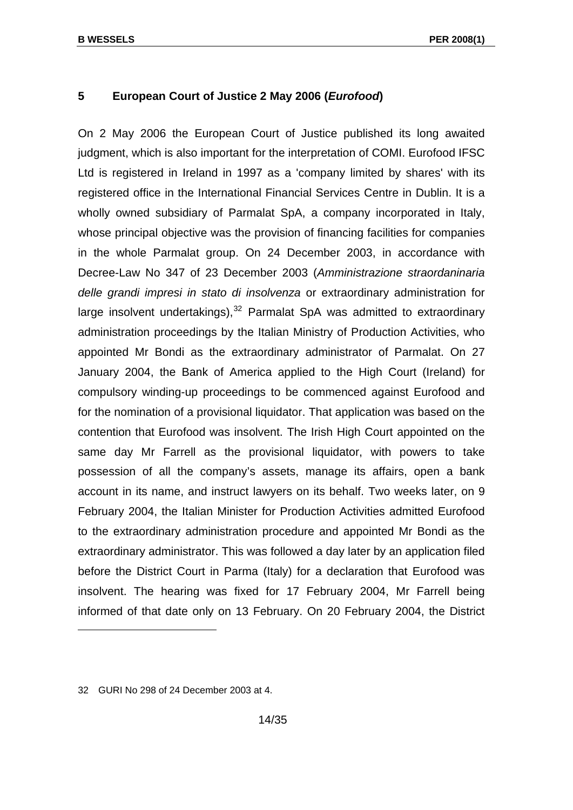#### **5 European Court of Justice 2 May 2006 (***Eurofood***)**

On 2 May 2006 the European Court of Justice published its long awaited judgment, which is also important for the interpretation of COMI. Eurofood IFSC Ltd is registered in Ireland in 1997 as a 'company limited by shares' with its registered office in the International Financial Services Centre in Dublin. It is a wholly owned subsidiary of Parmalat SpA, a company incorporated in Italy, whose principal objective was the provision of financing facilities for companies in the whole Parmalat group. On 24 December 2003, in accordance with Decree-Law No 347 of 23 December 2003 (*Amministrazione straordaninaria delle grandi impresi in stato di insolvenza* or extraordinary administration for large insolvent undertakings), $32$  Parmalat SpA was admitted to extraordinary administration proceedings by the Italian Ministry of Production Activities, who appointed Mr Bondi as the extraordinary administrator of Parmalat. On 27 January 2004, the Bank of America applied to the High Court (Ireland) for compulsory winding-up proceedings to be commenced against Eurofood and for the nomination of a provisional liquidator. That application was based on the contention that Eurofood was insolvent. The Irish High Court appointed on the same day Mr Farrell as the provisional liquidator, with powers to take possession of all the company's assets, manage its affairs, open a bank account in its name, and instruct lawyers on its behalf. Two weeks later, on 9 February 2004, the Italian Minister for Production Activities admitted Eurofood to the extraordinary administration procedure and appointed Mr Bondi as the extraordinary administrator. This was followed a day later by an application filed before the District Court in Parma (Italy) for a declaration that Eurofood was insolvent. The hearing was fixed for 17 February 2004, Mr Farrell being informed of that date only on 13 February. On 20 February 2004, the District

<u>.</u>

<span id="page-13-0"></span><sup>32</sup> GURI No 298 of 24 December 2003 at 4.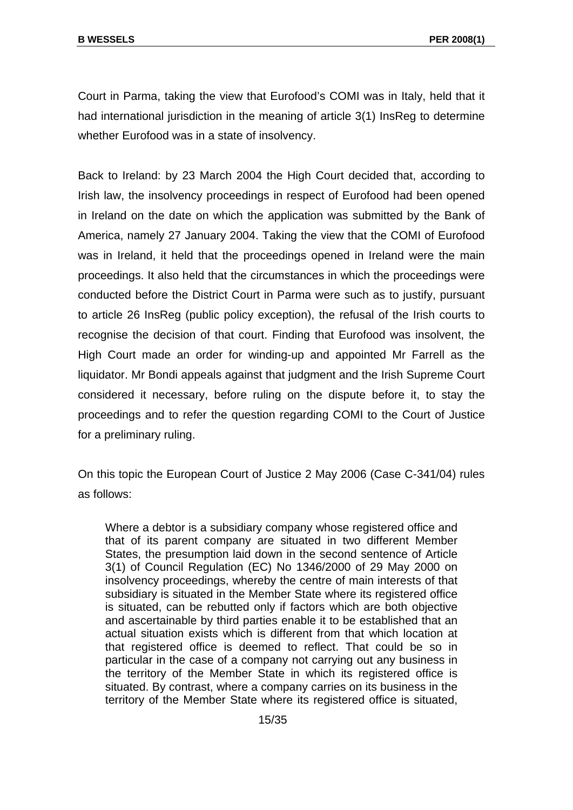Court in Parma, taking the view that Eurofood's COMI was in Italy, held that it had international jurisdiction in the meaning of article 3(1) InsReg to determine whether Eurofood was in a state of insolvency.

Back to Ireland: by 23 March 2004 the High Court decided that, according to Irish law, the insolvency proceedings in respect of Eurofood had been opened in Ireland on the date on which the application was submitted by the Bank of America, namely 27 January 2004. Taking the view that the COMI of Eurofood was in Ireland, it held that the proceedings opened in Ireland were the main proceedings. It also held that the circumstances in which the proceedings were conducted before the District Court in Parma were such as to justify, pursuant to article 26 InsReg (public policy exception), the refusal of the Irish courts to recognise the decision of that court. Finding that Eurofood was insolvent, the High Court made an order for winding-up and appointed Mr Farrell as the liquidator. Mr Bondi appeals against that judgment and the Irish Supreme Court considered it necessary, before ruling on the dispute before it, to stay the proceedings and to refer the question regarding COMI to the Court of Justice for a preliminary ruling.

On this topic the European Court of Justice 2 May 2006 (Case C-341/04) rules as follows:

Where a debtor is a subsidiary company whose registered office and that of its parent company are situated in two different Member States, the presumption laid down in the second sentence of Article 3(1) of Council Regulation (EC) No 1346/2000 of 29 May 2000 on insolvency proceedings, whereby the centre of main interests of that subsidiary is situated in the Member State where its registered office is situated, can be rebutted only if factors which are both objective and ascertainable by third parties enable it to be established that an actual situation exists which is different from that which location at that registered office is deemed to reflect. That could be so in particular in the case of a company not carrying out any business in the territory of the Member State in which its registered office is situated. By contrast, where a company carries on its business in the territory of the Member State where its registered office is situated,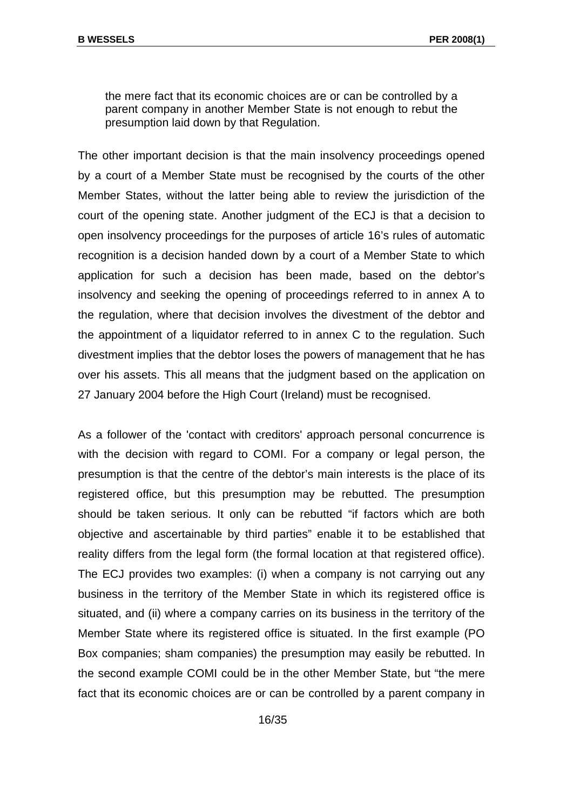the mere fact that its economic choices are or can be controlled by a parent company in another Member State is not enough to rebut the presumption laid down by that Regulation.

The other important decision is that the main insolvency proceedings opened by a court of a Member State must be recognised by the courts of the other Member States, without the latter being able to review the jurisdiction of the court of the opening state. Another judgment of the ECJ is that a decision to open insolvency proceedings for the purposes of article 16's rules of automatic recognition is a decision handed down by a court of a Member State to which application for such a decision has been made, based on the debtor's insolvency and seeking the opening of proceedings referred to in annex A to the regulation, where that decision involves the divestment of the debtor and the appointment of a liquidator referred to in annex C to the regulation. Such divestment implies that the debtor loses the powers of management that he has over his assets. This all means that the judgment based on the application on 27 January 2004 before the High Court (Ireland) must be recognised.

As a follower of the 'contact with creditors' approach personal concurrence is with the decision with regard to COMI. For a company or legal person, the presumption is that the centre of the debtor's main interests is the place of its registered office, but this presumption may be rebutted. The presumption should be taken serious. It only can be rebutted "if factors which are both objective and ascertainable by third parties" enable it to be established that reality differs from the legal form (the formal location at that registered office). The ECJ provides two examples: (i) when a company is not carrying out any business in the territory of the Member State in which its registered office is situated, and (ii) where a company carries on its business in the territory of the Member State where its registered office is situated. In the first example (PO Box companies; sham companies) the presumption may easily be rebutted. In the second example COMI could be in the other Member State, but "the mere fact that its economic choices are or can be controlled by a parent company in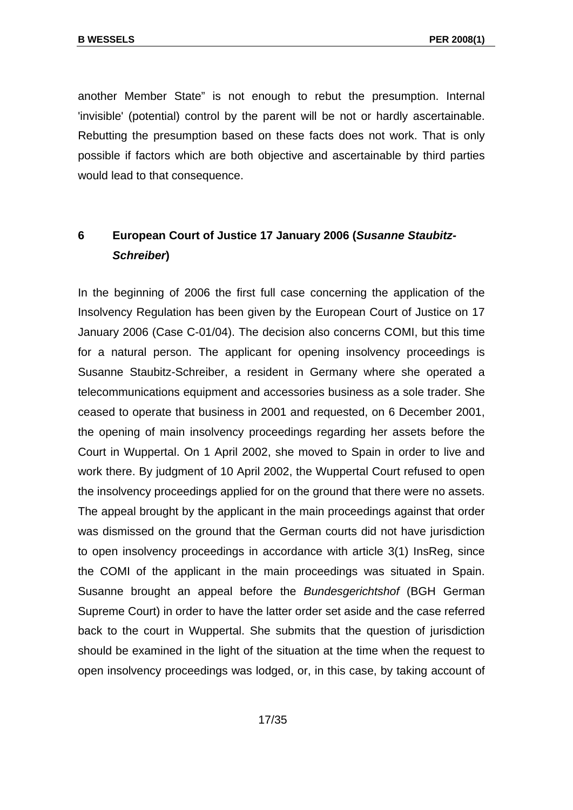another Member State" is not enough to rebut the presumption. Internal 'invisible' (potential) control by the parent will be not or hardly ascertainable. Rebutting the presumption based on these facts does not work. That is only possible if factors which are both objective and ascertainable by third parties would lead to that consequence.

# **6 European Court of Justice 17 January 2006 (***Susanne Staubitz-Schreiber***)**

In the beginning of 2006 the first full case concerning the application of the Insolvency Regulation has been given by the European Court of Justice on 17 January 2006 (Case C-01/04). The decision also concerns COMI, but this time for a natural person. The applicant for opening insolvency proceedings is Susanne Staubitz-Schreiber, a resident in Germany where she operated a telecommunications equipment and accessories business as a sole trader. She ceased to operate that business in 2001 and requested, on 6 December 2001, the opening of main insolvency proceedings regarding her assets before the Court in Wuppertal. On 1 April 2002, she moved to Spain in order to live and work there. By judgment of 10 April 2002, the Wuppertal Court refused to open the insolvency proceedings applied for on the ground that there were no assets. The appeal brought by the applicant in the main proceedings against that order was dismissed on the ground that the German courts did not have jurisdiction to open insolvency proceedings in accordance with article 3(1) InsReg, since the COMI of the applicant in the main proceedings was situated in Spain. Susanne brought an appeal before the *Bundesgerichtshof* (BGH German Supreme Court) in order to have the latter order set aside and the case referred back to the court in Wuppertal. She submits that the question of jurisdiction should be examined in the light of the situation at the time when the request to open insolvency proceedings was lodged, or, in this case, by taking account of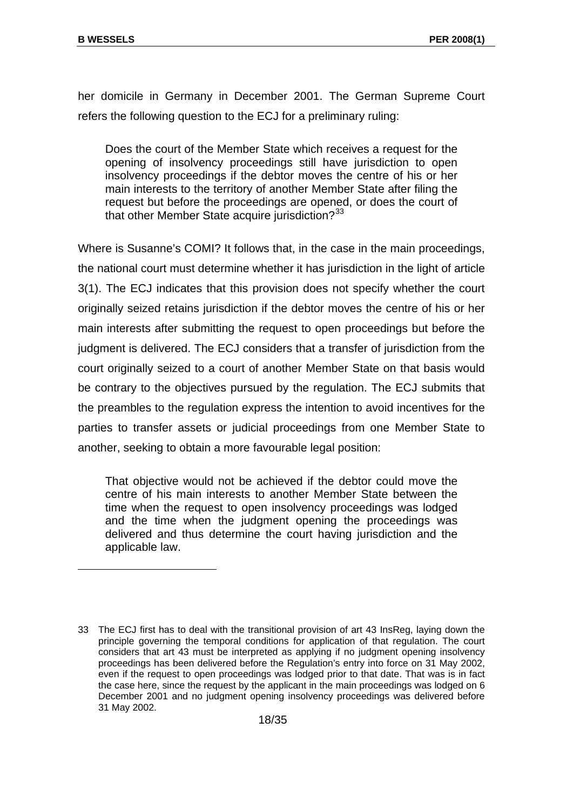her domicile in Germany in December 2001. The German Supreme Court refers the following question to the ECJ for a preliminary ruling:

Does the court of the Member State which receives a request for the opening of insolvency proceedings still have jurisdiction to open insolvency proceedings if the debtor moves the centre of his or her main interests to the territory of another Member State after filing the request but before the proceedings are opened, or does the court of that other Member State acquire jurisdiction? $33$ 

Where is Susanne's COMI? It follows that, in the case in the main proceedings, the national court must determine whether it has jurisdiction in the light of article 3(1). The ECJ indicates that this provision does not specify whether the court originally seized retains jurisdiction if the debtor moves the centre of his or her main interests after submitting the request to open proceedings but before the judgment is delivered. The ECJ considers that a transfer of jurisdiction from the court originally seized to a court of another Member State on that basis would be contrary to the objectives pursued by the regulation. The ECJ submits that the preambles to the regulation express the intention to avoid incentives for the parties to transfer assets or judicial proceedings from one Member State to another, seeking to obtain a more favourable legal position:

That objective would not be achieved if the debtor could move the centre of his main interests to another Member State between the time when the request to open insolvency proceedings was lodged and the time when the judgment opening the proceedings was delivered and thus determine the court having jurisdiction and the applicable law.

<span id="page-17-0"></span><sup>33</sup> The ECJ first has to deal with the transitional provision of art 43 InsReg, laying down the principle governing the temporal conditions for application of that regulation. The court considers that art 43 must be interpreted as applying if no judgment opening insolvency proceedings has been delivered before the Regulation's entry into force on 31 May 2002, even if the request to open proceedings was lodged prior to that date. That was is in fact the case here, since the request by the applicant in the main proceedings was lodged on 6 December 2001 and no judgment opening insolvency proceedings was delivered before 31 May 2002.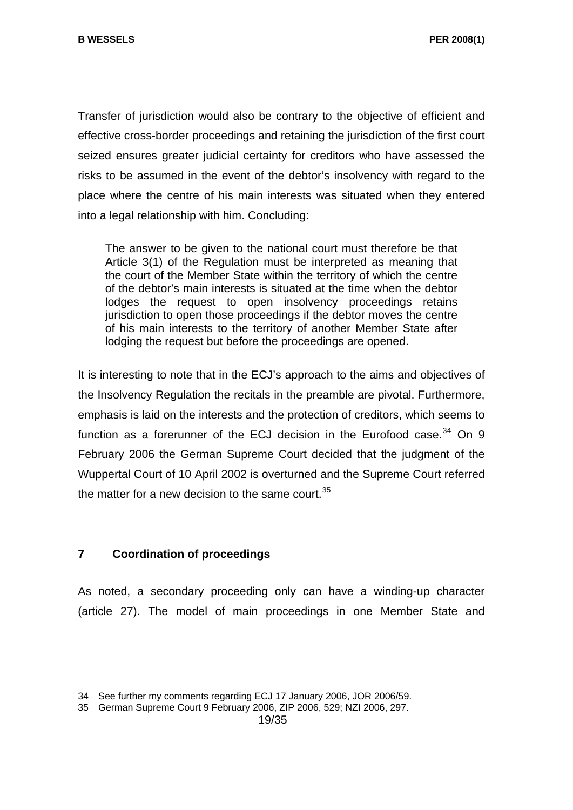Transfer of jurisdiction would also be contrary to the objective of efficient and effective cross-border proceedings and retaining the jurisdiction of the first court seized ensures greater judicial certainty for creditors who have assessed the risks to be assumed in the event of the debtor's insolvency with regard to the place where the centre of his main interests was situated when they entered into a legal relationship with him. Concluding:

The answer to be given to the national court must therefore be that Article 3(1) of the Regulation must be interpreted as meaning that the court of the Member State within the territory of which the centre of the debtor's main interests is situated at the time when the debtor lodges the request to open insolvency proceedings retains jurisdiction to open those proceedings if the debtor moves the centre of his main interests to the territory of another Member State after lodging the request but before the proceedings are opened.

It is interesting to note that in the ECJ's approach to the aims and objectives of the Insolvency Regulation the recitals in the preamble are pivotal. Furthermore, emphasis is laid on the interests and the protection of creditors, which seems to function as a forerunner of the ECJ decision in the Eurofood case. $34$  On 9 February 2006 the German Supreme Court decided that the judgment of the Wuppertal Court of 10 April 2002 is overturned and the Supreme Court referred the matter for a new decision to the same court. $35$ 

# **7 Coordination of proceedings**

1

As noted, a secondary proceeding only can have a winding-up character (article 27). The model of main proceedings in one Member State and

<span id="page-18-0"></span><sup>34</sup> See further my comments regarding ECJ 17 January 2006, JOR 2006/59.

<span id="page-18-1"></span><sup>35</sup> German Supreme Court 9 February 2006, ZIP 2006, 529; NZI 2006, 297.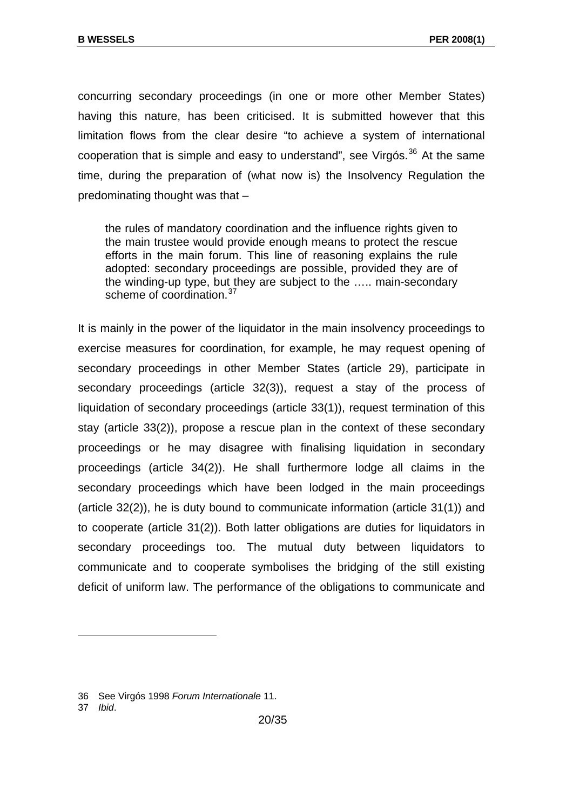concurring secondary proceedings (in one or more other Member States) having this nature, has been criticised. It is submitted however that this limitation flows from the clear desire "to achieve a system of international cooperation that is simple and easy to understand", see Virgós. $36$  At the same time, during the preparation of (what now is) the Insolvency Regulation the predominating thought was that –

the rules of mandatory coordination and the influence rights given to the main trustee would provide enough means to protect the rescue efforts in the main forum. This line of reasoning explains the rule adopted: secondary proceedings are possible, provided they are of the winding-up type, but they are subject to the ….. main-secondary scheme of coordination.<sup>[37](#page-19-1)</sup>

It is mainly in the power of the liquidator in the main insolvency proceedings to exercise measures for coordination, for example, he may request opening of secondary proceedings in other Member States (article 29), participate in secondary proceedings (article 32(3)), request a stay of the process of liquidation of secondary proceedings (article 33(1)), request termination of this stay (article 33(2)), propose a rescue plan in the context of these secondary proceedings or he may disagree with finalising liquidation in secondary proceedings (article 34(2)). He shall furthermore lodge all claims in the secondary proceedings which have been lodged in the main proceedings (article 32(2)), he is duty bound to communicate information (article 31(1)) and to cooperate (article 31(2)). Both latter obligations are duties for liquidators in secondary proceedings too. The mutual duty between liquidators to communicate and to cooperate symbolises the bridging of the still existing deficit of uniform law. The performance of the obligations to communicate and

<span id="page-19-1"></span><span id="page-19-0"></span>37 *Ibid*.

<sup>36</sup> See Virgós 1998 *Forum Internationale* 11.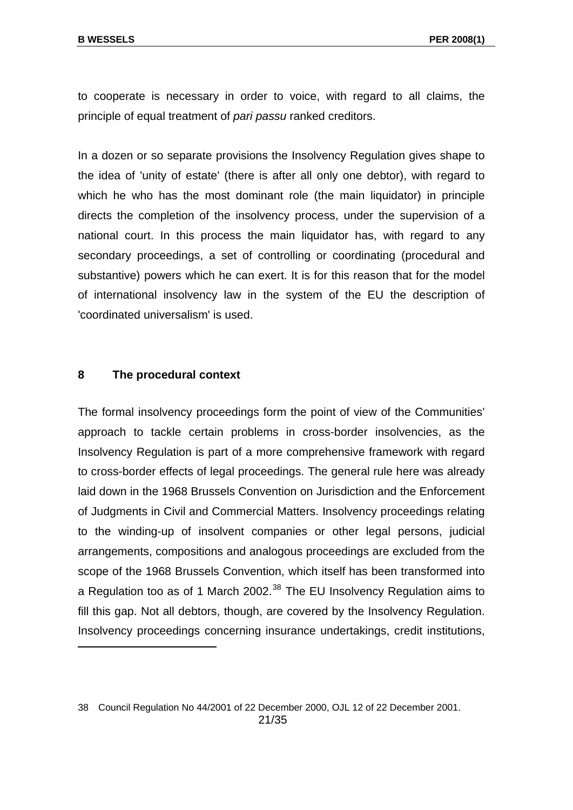to cooperate is necessary in order to voice, with regard to all claims, the principle of equal treatment of *pari passu* ranked creditors.

In a dozen or so separate provisions the Insolvency Regulation gives shape to the idea of 'unity of estate' (there is after all only one debtor), with regard to which he who has the most dominant role (the main liquidator) in principle directs the completion of the insolvency process, under the supervision of a national court. In this process the main liquidator has, with regard to any secondary proceedings, a set of controlling or coordinating (procedural and substantive) powers which he can exert. It is for this reason that for the model of international insolvency law in the system of the EU the description of 'coordinated universalism' is used.

#### **8 The procedural context**

1

The formal insolvency proceedings form the point of view of the Communities' approach to tackle certain problems in cross-border insolvencies, as the Insolvency Regulation is part of a more comprehensive framework with regard to cross-border effects of legal proceedings. The general rule here was already laid down in the 1968 Brussels Convention on Jurisdiction and the Enforcement of Judgments in Civil and Commercial Matters. Insolvency proceedings relating to the winding-up of insolvent companies or other legal persons, judicial arrangements, compositions and analogous proceedings are excluded from the scope of the 1968 Brussels Convention, which itself has been transformed into a Regulation too as of 1 March 2002. $38$  The EU Insolvency Regulation aims to fill this gap. Not all debtors, though, are covered by the Insolvency Regulation. Insolvency proceedings concerning insurance undertakings, credit institutions,

<span id="page-20-0"></span><sup>38</sup> Council Regulation No 44/2001 of 22 December 2000, OJL 12 of 22 December 2001.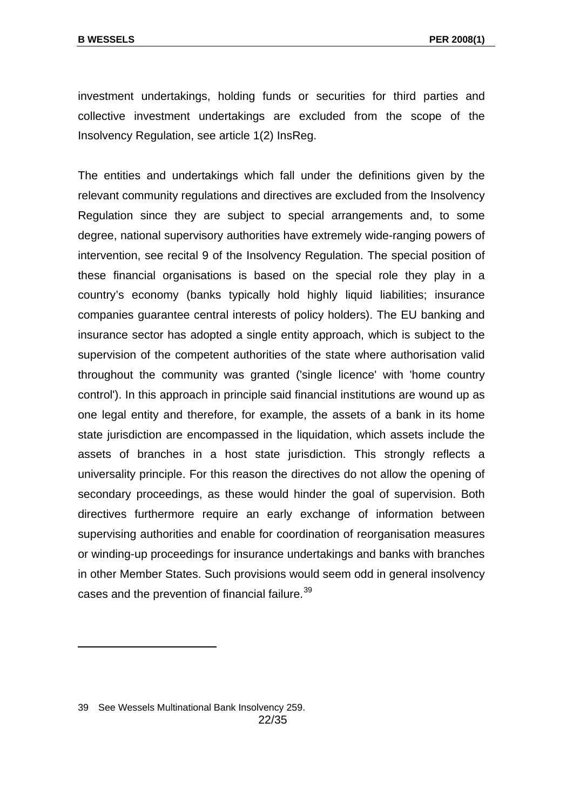investment undertakings, holding funds or securities for third parties and collective investment undertakings are excluded from the scope of the Insolvency Regulation, see article 1(2) InsReg.

The entities and undertakings which fall under the definitions given by the relevant community regulations and directives are excluded from the Insolvency Regulation since they are subject to special arrangements and, to some degree, national supervisory authorities have extremely wide-ranging powers of intervention, see recital 9 of the Insolvency Regulation. The special position of these financial organisations is based on the special role they play in a country's economy (banks typically hold highly liquid liabilities; insurance companies guarantee central interests of policy holders). The EU banking and insurance sector has adopted a single entity approach, which is subject to the supervision of the competent authorities of the state where authorisation valid throughout the community was granted ('single licence' with 'home country control'). In this approach in principle said financial institutions are wound up as one legal entity and therefore, for example, the assets of a bank in its home state jurisdiction are encompassed in the liquidation, which assets include the assets of branches in a host state jurisdiction. This strongly reflects a universality principle. For this reason the directives do not allow the opening of secondary proceedings, as these would hinder the goal of supervision. Both directives furthermore require an early exchange of information between supervising authorities and enable for coordination of reorganisation measures or winding-up proceedings for insurance undertakings and banks with branches in other Member States. Such provisions would seem odd in general insolvency cases and the prevention of financial failure.<sup>[39](#page-21-0)</sup>

<span id="page-21-0"></span><sup>22/35</sup>  39 See Wessels Multinational Bank Insolvency 259.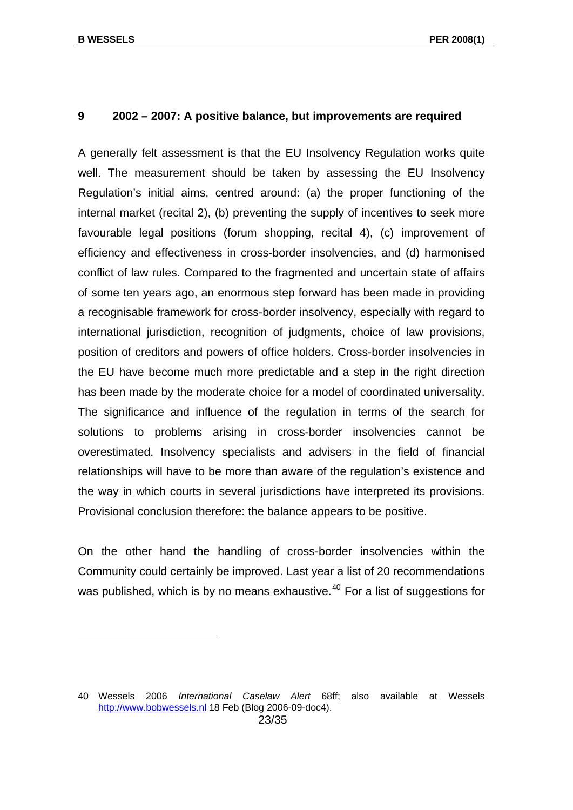# **9 2002 – 2007: A positive balance, but improvements are required**

A generally felt assessment is that the EU Insolvency Regulation works quite well. The measurement should be taken by assessing the EU Insolvency Regulation's initial aims, centred around: (a) the proper functioning of the internal market (recital 2), (b) preventing the supply of incentives to seek more favourable legal positions (forum shopping, recital 4), (c) improvement of efficiency and effectiveness in cross-border insolvencies, and (d) harmonised conflict of law rules. Compared to the fragmented and uncertain state of affairs of some ten years ago, an enormous step forward has been made in providing a recognisable framework for cross-border insolvency, especially with regard to international jurisdiction, recognition of judgments, choice of law provisions, position of creditors and powers of office holders. Cross-border insolvencies in the EU have become much more predictable and a step in the right direction has been made by the moderate choice for a model of coordinated universality. The significance and influence of the regulation in terms of the search for solutions to problems arising in cross-border insolvencies cannot be overestimated. Insolvency specialists and advisers in the field of financial relationships will have to be more than aware of the regulation's existence and the way in which courts in several jurisdictions have interpreted its provisions. Provisional conclusion therefore: the balance appears to be positive.

On the other hand the handling of cross-border insolvencies within the Community could certainly be improved. Last year a list of 20 recommendations was published, which is by no means exhaustive.<sup>[40](#page-22-0)</sup> For a list of suggestions for

<span id="page-22-0"></span><sup>23/35</sup>  40 Wessels 2006 *International Caselaw Alert* 68ff; also available at Wessels [http://www.bobwessels.nl](http://www.bobwessels.nl/) 18 Feb (Blog 2006-09-doc4).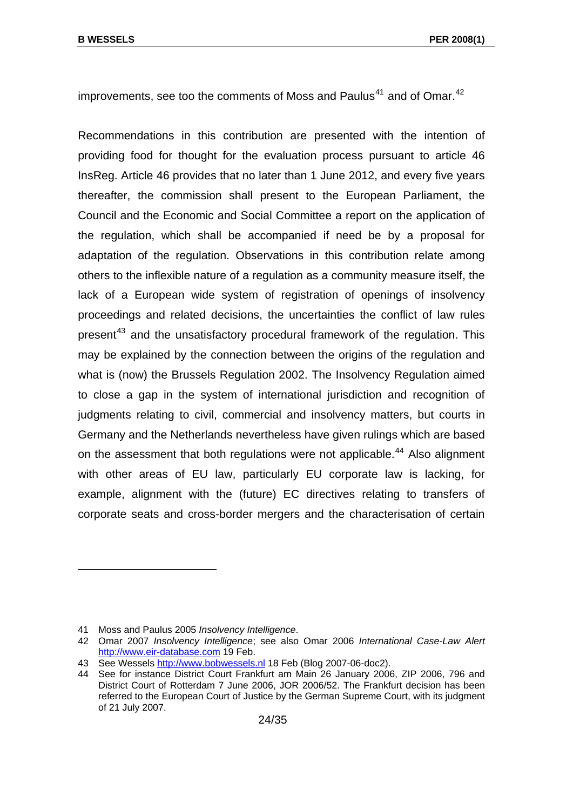improvements, see too the comments of Moss and Paulus<sup>[41](#page-23-0)</sup> and of Omar.<sup>[42](#page-23-1)</sup>

Recommendations in this contribution are presented with the intention of providing food for thought for the evaluation process pursuant to article 46 InsReg. Article 46 provides that no later than 1 June 2012, and every five years thereafter, the commission shall present to the European Parliament, the Council and the Economic and Social Committee a report on the application of the regulation, which shall be accompanied if need be by a proposal for adaptation of the regulation. Observations in this contribution relate among others to the inflexible nature of a regulation as a community measure itself, the lack of a European wide system of registration of openings of insolvency proceedings and related decisions, the uncertainties the conflict of law rules present<sup>[43](#page-23-2)</sup> and the unsatisfactory procedural framework of the regulation. This may be explained by the connection between the origins of the regulation and what is (now) the Brussels Regulation 2002. The Insolvency Regulation aimed to close a gap in the system of international jurisdiction and recognition of judgments relating to civil, commercial and insolvency matters, but courts in Germany and the Netherlands nevertheless have given rulings which are based on the assessment that both regulations were not applicable.<sup>[44](#page-23-3)</sup> Also alignment with other areas of EU law, particularly EU corporate law is lacking, for example, alignment with the (future) EC directives relating to transfers of corporate seats and cross-border mergers and the characterisation of certain

<span id="page-23-0"></span><sup>41</sup> Moss and Paulus 2005 *Insolvency Intelligence*.

<span id="page-23-1"></span><sup>42</sup> Omar 2007 *Insolvency Intelligence*; see also Omar 2006 *International Case-Law Alert* [http://www.eir-database.com](http://www.eir-database.com/) 19 Feb.

<span id="page-23-2"></span><sup>43</sup> See Wessels [http://www.bobwessels.nl](http://www.bobwessels.nl/) 18 Feb (Blog 2007-06-doc2).

<span id="page-23-3"></span><sup>44</sup> See for instance District Court Frankfurt am Main 26 January 2006, ZIP 2006, 796 and District Court of Rotterdam 7 June 2006, JOR 2006/52. The Frankfurt decision has been referred to the European Court of Justice by the German Supreme Court, with its judgment of 21 July 2007.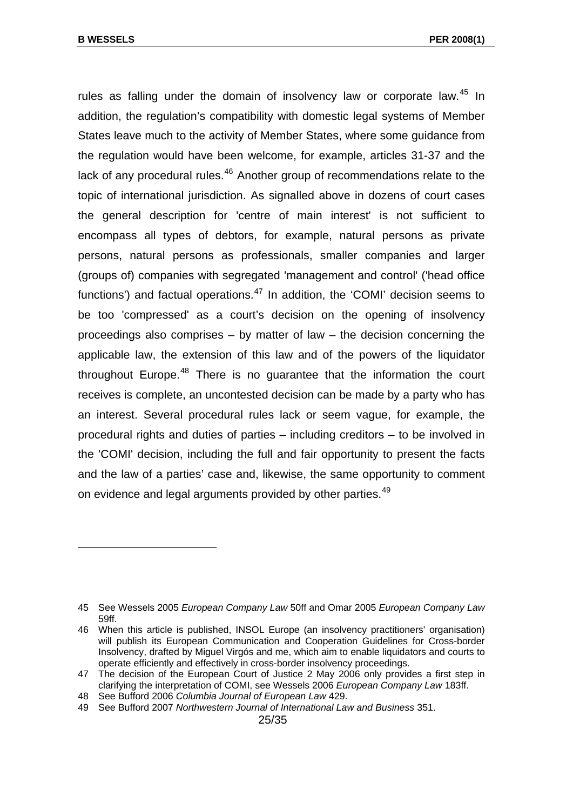rules as falling under the domain of insolvency law or corporate law.<sup>[45](#page-24-0)</sup> In addition, the regulation's compatibility with domestic legal systems of Member States leave much to the activity of Member States, where some guidance from the regulation would have been welcome, for example, articles 31-37 and the lack of any procedural rules.<sup>[46](#page-24-1)</sup> Another group of recommendations relate to the topic of international jurisdiction. As signalled above in dozens of court cases the general description for 'centre of main interest' is not sufficient to encompass all types of debtors, for example, natural persons as private persons, natural persons as professionals, smaller companies and larger (groups of) companies with segregated 'management and control' ('head office functions') and factual operations. $47$  In addition, the 'COMI' decision seems to be too 'compressed' as a court's decision on the opening of insolvency proceedings also comprises – by matter of law – the decision concerning the applicable law, the extension of this law and of the powers of the liquidator throughout Europe.<sup>[48](#page-24-3)</sup> There is no guarantee that the information the court receives is complete, an uncontested decision can be made by a party who has an interest. Several procedural rules lack or seem vague, for example, the procedural rights and duties of parties – including creditors – to be involved in the 'COMI' decision, including the full and fair opportunity to present the facts and the law of a parties' case and, likewise, the same opportunity to comment on evidence and legal arguments provided by other parties.<sup>[49](#page-24-4)</sup>

<span id="page-24-0"></span><sup>45</sup> See Wessels 2005 *European Company Law* 50ff and Omar 2005 *European Company Law*  59ff.

<span id="page-24-1"></span><sup>46</sup> When this article is published, INSOL Europe (an insolvency practitioners' organisation) will publish its European Communication and Cooperation Guidelines for Cross-border Insolvency, drafted by Miguel Virgós and me, which aim to enable liquidators and courts to operate efficiently and effectively in cross-border insolvency proceedings.

<span id="page-24-2"></span><sup>47</sup> The decision of the European Court of Justice 2 May 2006 only provides a first step in clarifying the interpretation of COMI, see Wessels 2006 *European Company Law* 183ff.

<span id="page-24-3"></span><sup>48</sup> See Bufford 2006 *Columbia Journal of European Law* 429.

<span id="page-24-4"></span><sup>49</sup> See Bufford 2007 *Northwestern Journal of International Law and Business* 351.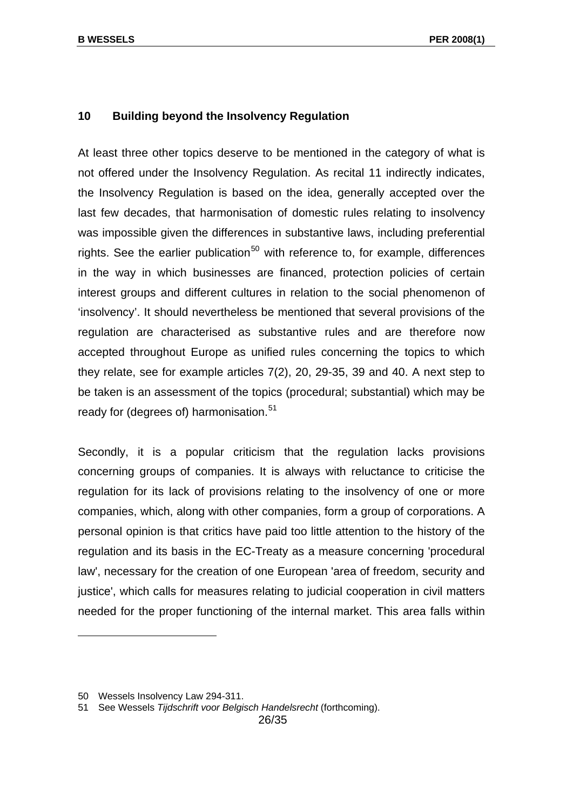# **10 Building beyond the Insolvency Regulation**

At least three other topics deserve to be mentioned in the category of what is not offered under the Insolvency Regulation. As recital 11 indirectly indicates, the Insolvency Regulation is based on the idea, generally accepted over the last few decades, that harmonisation of domestic rules relating to insolvency was impossible given the differences in substantive laws, including preferential rights. See the earlier publication<sup>[50](#page-25-0)</sup> with reference to, for example, differences in the way in which businesses are financed, protection policies of certain interest groups and different cultures in relation to the social phenomenon of 'insolvency'. It should nevertheless be mentioned that several provisions of the regulation are characterised as substantive rules and are therefore now accepted throughout Europe as unified rules concerning the topics to which they relate, see for example articles 7(2), 20, 29-35, 39 and 40. A next step to be taken is an assessment of the topics (procedural; substantial) which may be ready for (degrees of) harmonisation.<sup>[51](#page-25-1)</sup>

Secondly, it is a popular criticism that the regulation lacks provisions concerning groups of companies. It is always with reluctance to criticise the regulation for its lack of provisions relating to the insolvency of one or more companies, which, along with other companies, form a group of corporations. A personal opinion is that critics have paid too little attention to the history of the regulation and its basis in the EC-Treaty as a measure concerning 'procedural law', necessary for the creation of one European 'area of freedom, security and justice', which calls for measures relating to judicial cooperation in civil matters needed for the proper functioning of the internal market. This area falls within

<span id="page-25-0"></span><sup>50</sup> Wessels Insolvency Law 294-311.

<span id="page-25-1"></span><sup>51</sup> See Wessels *Tijdschrift voor Belgisch Handelsrecht* (forthcoming).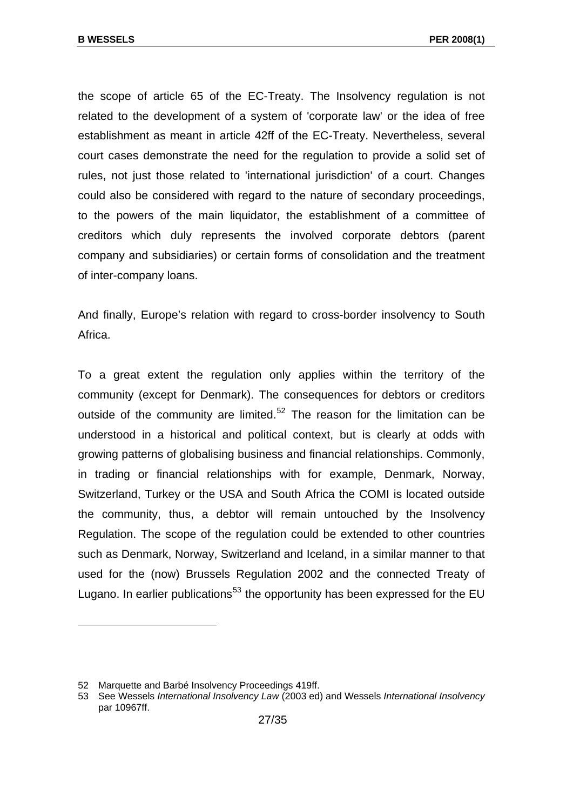the scope of article 65 of the EC-Treaty. The Insolvency regulation is not related to the development of a system of 'corporate law' or the idea of free establishment as meant in article 42ff of the EC-Treaty. Nevertheless, several court cases demonstrate the need for the regulation to provide a solid set of rules, not just those related to 'international jurisdiction' of a court. Changes could also be considered with regard to the nature of secondary proceedings, to the powers of the main liquidator, the establishment of a committee of creditors which duly represents the involved corporate debtors (parent company and subsidiaries) or certain forms of consolidation and the treatment of inter-company loans.

And finally, Europe's relation with regard to cross-border insolvency to South Africa.

To a great extent the regulation only applies within the territory of the community (except for Denmark). The consequences for debtors or creditors outside of the community are limited. $52$  The reason for the limitation can be understood in a historical and political context, but is clearly at odds with growing patterns of globalising business and financial relationships. Commonly, in trading or financial relationships with for example, Denmark, Norway, Switzerland, Turkey or the USA and South Africa the COMI is located outside the community, thus, a debtor will remain untouched by the Insolvency Regulation. The scope of the regulation could be extended to other countries such as Denmark, Norway, Switzerland and Iceland, in a similar manner to that used for the (now) Brussels Regulation 2002 and the connected Treaty of Lugano. In earlier publications<sup>[53](#page-26-1)</sup> the opportunity has been expressed for the EU

<span id="page-26-0"></span><sup>52</sup> Marquette and Barbé Insolvency Proceedings 419ff.

<span id="page-26-1"></span><sup>53</sup> See Wessels *International Insolvency Law* (2003 ed) and Wessels *International Insolvency*  par 10967ff.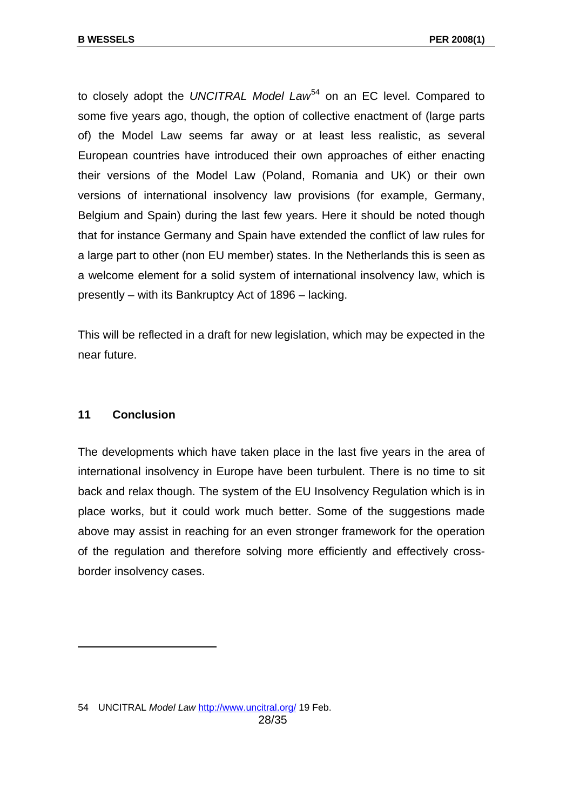to closely adopt the *UNCITRAL Model Law*<sup>[54](#page-27-0)</sup> on an EC level. Compared to some five years ago, though, the option of collective enactment of (large parts of) the Model Law seems far away or at least less realistic, as several European countries have introduced their own approaches of either enacting their versions of the Model Law (Poland, Romania and UK) or their own versions of international insolvency law provisions (for example, Germany, Belgium and Spain) during the last few years. Here it should be noted though that for instance Germany and Spain have extended the conflict of law rules for a large part to other (non EU member) states. In the Netherlands this is seen as a welcome element for a solid system of international insolvency law, which is presently – with its Bankruptcy Act of 1896 – lacking.

This will be reflected in a draft for new legislation, which may be expected in the near future.

#### **11 Conclusion**

1

The developments which have taken place in the last five years in the area of international insolvency in Europe have been turbulent. There is no time to sit back and relax though. The system of the EU Insolvency Regulation which is in place works, but it could work much better. Some of the suggestions made above may assist in reaching for an even stronger framework for the operation of the regulation and therefore solving more efficiently and effectively crossborder insolvency cases.

<span id="page-27-0"></span><sup>28/35</sup>  54 UNCITRAL *Model Law* [http://www.uncitral.org/](http://www.uncitral.org/uncitral/en/uncitral_texts/insolvency/1997Model.html) 19 Feb.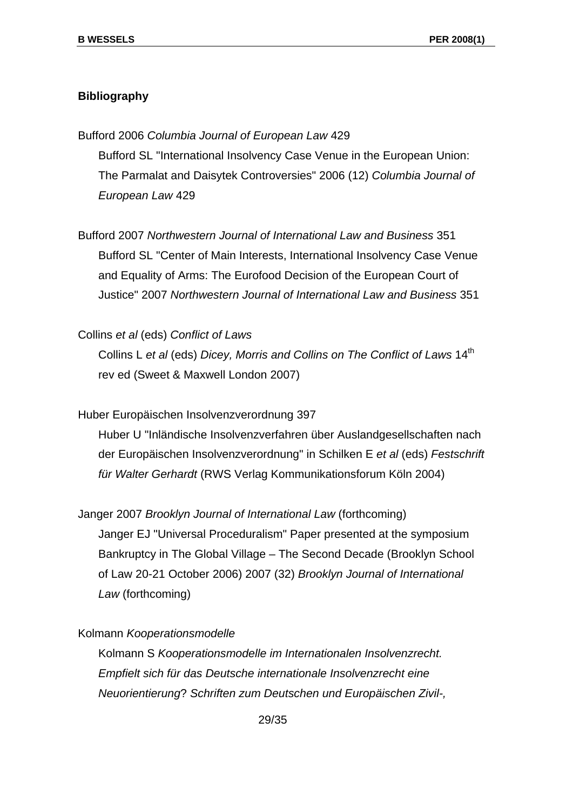#### **Bibliography**

# Bufford 2006 *Columbia Journal of European Law* 429

Bufford SL "International Insolvency Case Venue in the European Union: The Parmalat and Daisytek Controversies" 2006 (12) *Columbia Journal of European Law* 429

Bufford 2007 *Northwestern Journal of International Law and Business* 351 Bufford SL "Center of Main Interests, International Insolvency Case Venue and Equality of Arms: The Eurofood Decision of the European Court of Justice" 2007 *Northwestern Journal of International Law and Business* 351

#### Collins *et al* (eds) *Conflict of Laws*

Collins L *et al* (eds) *Dicey, Morris and Collins on The Conflict of Laws* 14th rev ed (Sweet & Maxwell London 2007)

#### Huber Europäischen Insolvenzverordnung 397

Huber U "Inländische Insolvenzverfahren über Auslandgesellschaften nach der Europäischen Insolvenzverordnung" in Schilken E *et al* (eds) *Festschrift für Walter Gerhardt* (RWS Verlag Kommunikationsforum Köln 2004)

Janger 2007 *Brooklyn Journal of International Law* (forthcoming) Janger EJ "Universal Proceduralism" Paper presented at the symposium Bankruptcy in The Global Village – The Second Decade (Brooklyn School of Law 20-21 October 2006) 2007 (32) *Brooklyn Journal of International Law* (forthcoming)

#### Kolmann *Kooperationsmodelle*

Kolmann S *Kooperationsmodelle im Internationalen Insolvenzrecht. Empfielt sich für das Deutsche internationale Insolvenzrecht eine Neuorientierung*? *Schriften zum Deutschen und Europäischen Zivil-,*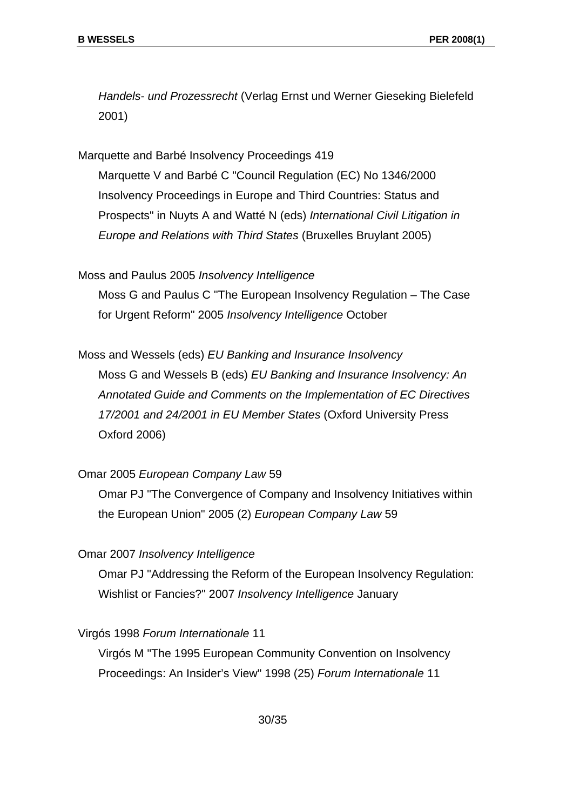*Handels- und Prozessrecht* (Verlag Ernst und Werner Gieseking Bielefeld 2001)

Marquette and Barbé Insolvency Proceedings 419

Marquette V and Barbé C "Council Regulation (EC) No 1346/2000 Insolvency Proceedings in Europe and Third Countries: Status and Prospects" in Nuyts A and Watté N (eds) *International Civil Litigation in Europe and Relations with Third States* (Bruxelles Bruylant 2005)

#### Moss and Paulus 2005 *Insolvency Intelligence*

Moss G and Paulus C "The European Insolvency Regulation – The Case for Urgent Reform" 2005 *Insolvency Intelligence* October

Moss and Wessels (eds) *EU Banking and Insurance Insolvency*  Moss G and Wessels B (eds) *EU Banking and Insurance Insolvency: An Annotated Guide and Comments on the Implementation of EC Directives 17/2001 and 24/2001 in EU Member States* (Oxford University Press Oxford 2006)

#### Omar 2005 *European Company Law* 59

Omar PJ "The Convergence of Company and Insolvency Initiatives within the European Union" 2005 (2) *European Company Law* 59

Omar 2007 *Insolvency Intelligence* 

Omar PJ "Addressing the Reform of the European Insolvency Regulation: Wishlist or Fancies?" 2007 *Insolvency Intelligence* January

Virgós 1998 *Forum Internationale* 11

Virgós M "The 1995 European Community Convention on Insolvency Proceedings: An Insider's View" 1998 (25) *Forum Internationale* 11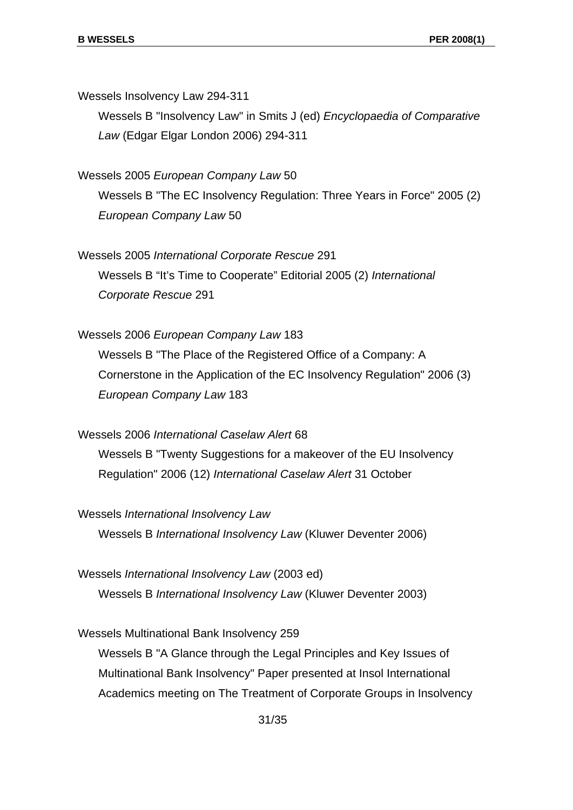Wessels Insolvency Law 294-311

Wessels B "Insolvency Law" in Smits J (ed) *Encyclopaedia of Comparative Law* (Edgar Elgar London 2006) 294-311

Wessels 2005 *European Company Law* 50

Wessels B "The EC Insolvency Regulation: Three Years in Force" 2005 (2) *European Company Law* 50

Wessels 2005 *International Corporate Rescue* 291 Wessels B "It's Time to Cooperate" Editorial 2005 (2) *International Corporate Rescue* 291

Wessels 2006 *European Company Law* 183

Wessels B "The Place of the Registered Office of a Company: A Cornerstone in the Application of the EC Insolvency Regulation" 2006 (3) *European Company Law* 183

Wessels 2006 *International Caselaw Alert* 68

Wessels B "Twenty Suggestions for a makeover of the EU Insolvency Regulation" 2006 (12) *International Caselaw Alert* 31 October

Wessels *International Insolvency Law* Wessels B *International Insolvency Law* (Kluwer Deventer 2006)

Wessels *International Insolvency Law* (2003 ed) Wessels B *International Insolvency Law* (Kluwer Deventer 2003)

Wessels Multinational Bank Insolvency 259

Wessels B "A Glance through the Legal Principles and Key Issues of Multinational Bank Insolvency" Paper presented at Insol International Academics meeting on The Treatment of Corporate Groups in Insolvency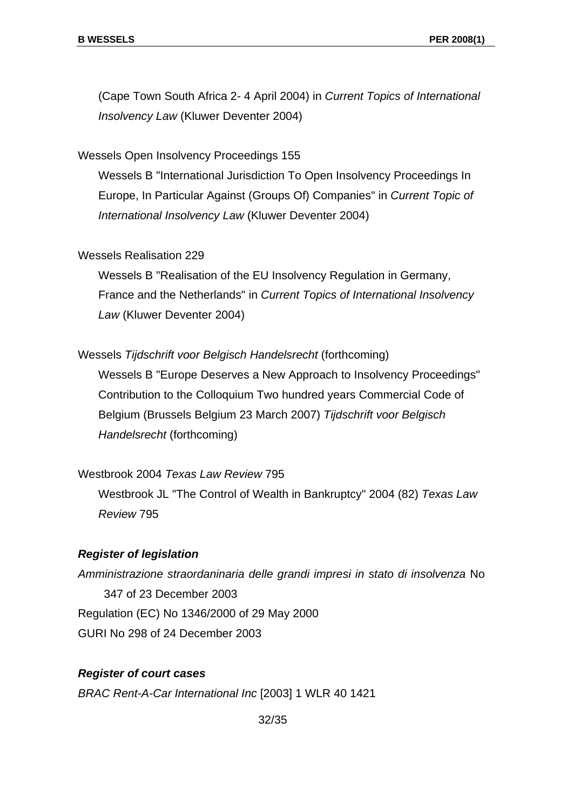(Cape Town South Africa 2- 4 April 2004) in *Current Topics of International Insolvency Law* (Kluwer Deventer 2004)

Wessels Open Insolvency Proceedings 155

Wessels B "International Jurisdiction To Open Insolvency Proceedings In Europe, In Particular Against (Groups Of) Companies" in *Current Topic of International Insolvency Law* (Kluwer Deventer 2004)

#### Wessels Realisation 229

Wessels B "Realisation of the EU Insolvency Regulation in Germany, France and the Netherlands" in *Current Topics of International Insolvency Law* (Kluwer Deventer 2004)

#### Wessels *Tijdschrift voor Belgisch Handelsrecht* (forthcoming)

Wessels B "Europe Deserves a New Approach to Insolvency Proceedings" Contribution to the Colloquium Two hundred years Commercial Code of Belgium (Brussels Belgium 23 March 2007) *Tijdschrift voor Belgisch Handelsrecht* (forthcoming)

### Westbrook 2004 *Texas Law Review* 795

Westbrook JL "The Control of Wealth in Bankruptcy" 2004 (82) *Texas Law Review* 795

#### *Register of legislation*

*Amministrazione straordaninaria delle grandi impresi in stato di insolvenza* No 347 of 23 December 2003 Regulation (EC) No 1346/2000 of 29 May 2000 GURI No 298 of 24 December 2003

#### *Register of court cases*

*BRAC Rent-A-Car International Inc* [2003] 1 WLR 40 1421

32/35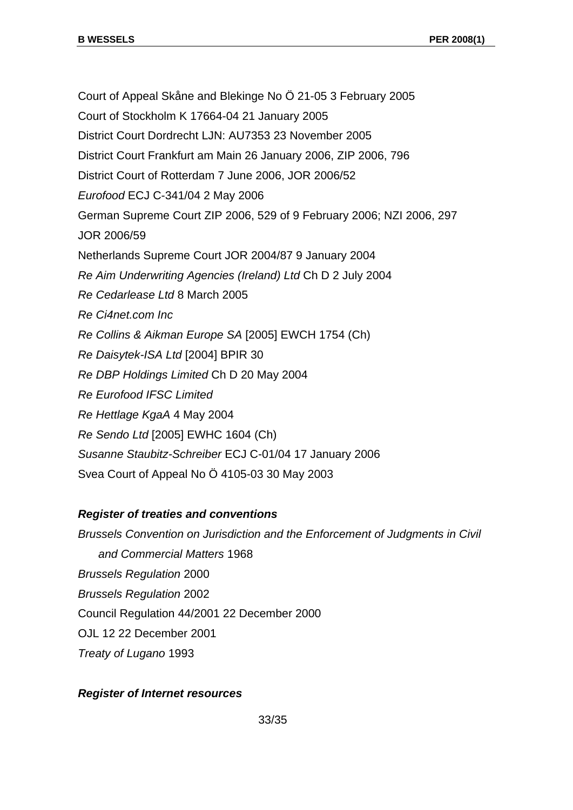Court of Appeal Skåne and Blekinge No Ö 21-05 3 February 2005 Court of Stockholm K 17664-04 21 January 2005 District Court Dordrecht LJN: AU7353 23 November 2005 District Court Frankfurt am Main 26 January 2006, ZIP 2006, 796 District Court of Rotterdam 7 June 2006, JOR 2006/52 *Eurofood* ECJ C-341/04 2 May 2006 German Supreme Court ZIP 2006, 529 of 9 February 2006; NZI 2006, 297 JOR 2006/59 Netherlands Supreme Court JOR 2004/87 9 January 2004 *Re Aim Underwriting Agencies (Ireland) Ltd* Ch D 2 July 2004 *Re Cedarlease Ltd* 8 March 2005 *Re Ci4net.com Inc Re Collins & Aikman Europe SA* [2005] EWCH 1754 (Ch) *Re Daisytek-ISA Ltd* [2004] BPIR 30 *Re DBP Holdings Limited* Ch D 20 May 2004 *Re Eurofood IFSC Limited Re Hettlage KgaA* 4 May 2004 *Re Sendo Ltd* [2005] EWHC 1604 (Ch) *Susanne Staubitz-Schreiber* ECJ C-01/04 17 January 2006 Svea Court of Appeal No Ö 4105-03 30 May 2003

# *Register of treaties and conventions*

*Brussels Convention on Jurisdiction and the Enforcement of Judgments in Civil and Commercial Matters* 1968 *Brussels Regulation* 2000 *Brussels Regulation* 2002 Council Regulation 44/2001 22 December 2000 OJL 12 22 December 2001 *Treaty of Lugano* 1993

#### *Register of Internet resources*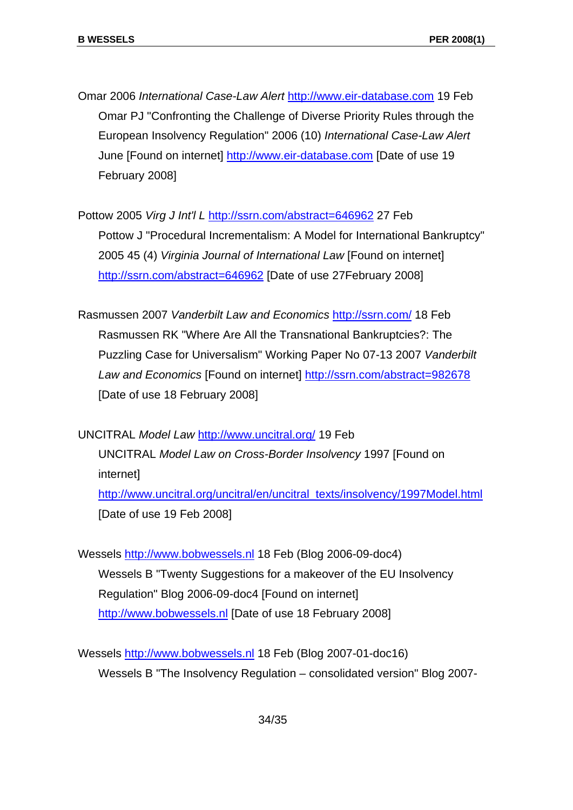- Omar 2006 *International Case-Law Alert* [http://www.eir-database.com](http://www.eir-database.com/) 19 Feb Omar PJ "Confronting the Challenge of Diverse Priority Rules through the European Insolvency Regulation" 2006 (10) *International Case-Law Alert* June [Found on internet] [http://www.eir-database.com](http://www.eir-database.com/) [Date of use 19 February 2008]
- Pottow 2005 *Virg J Int'l L* <http://ssrn.com/abstract=646962> 27 Feb Pottow J "Procedural Incrementalism: A Model for International Bankruptcy" 2005 45 (4) *Virginia Journal of International Law* [Found on internet] <http://ssrn.com/abstract=646962>[Date of use 27February 2008]
- Rasmussen 2007 *Vanderbilt Law and Economics* [http://ssrn.com/](http://ssrn.com/abstract=982678) 18 Feb Rasmussen RK "Where Are All the Transnational Bankruptcies?: The Puzzling Case for Universalism" Working Paper No 07-13 2007 *Vanderbilt Law and Economics* [Found on internet]<http://ssrn.com/abstract=982678> [Date of use 18 February 2008]

UNCITRAL *Model Law* [http://www.uncitral.org/](http://www.uncitral.org/uncitral/en/uncitral_texts/insolvency/1997Model.html) 19 Feb UNCITRAL *Model Law on Cross-Border Insolvency* 1997 [Found on internet] [http://www.uncitral.org/uncitral/en/uncitral\\_texts/insolvency/1997Model.html](http://www.uncitral.org/uncitral/en/uncitral_texts/insolvency/1997Model.html) [Date of use 19 Feb 2008]

Wessels [http://www.bobwessels.nl](http://www.bobwessels.nl/) 18 Feb (Blog 2006-09-doc4) Wessels B "Twenty Suggestions for a makeover of the EU Insolvency Regulation" Blog 2006-09-doc4 [Found on internet] [http://www.bobwessels.nl](http://www.bobwessels.nl/) [Date of use 18 February 2008]

Wessels [http://www.bobwessels.nl](http://www.bobwessels.nl/) 18 Feb (Blog 2007-01-doc16) Wessels B "The Insolvency Regulation – consolidated version" Blog 2007